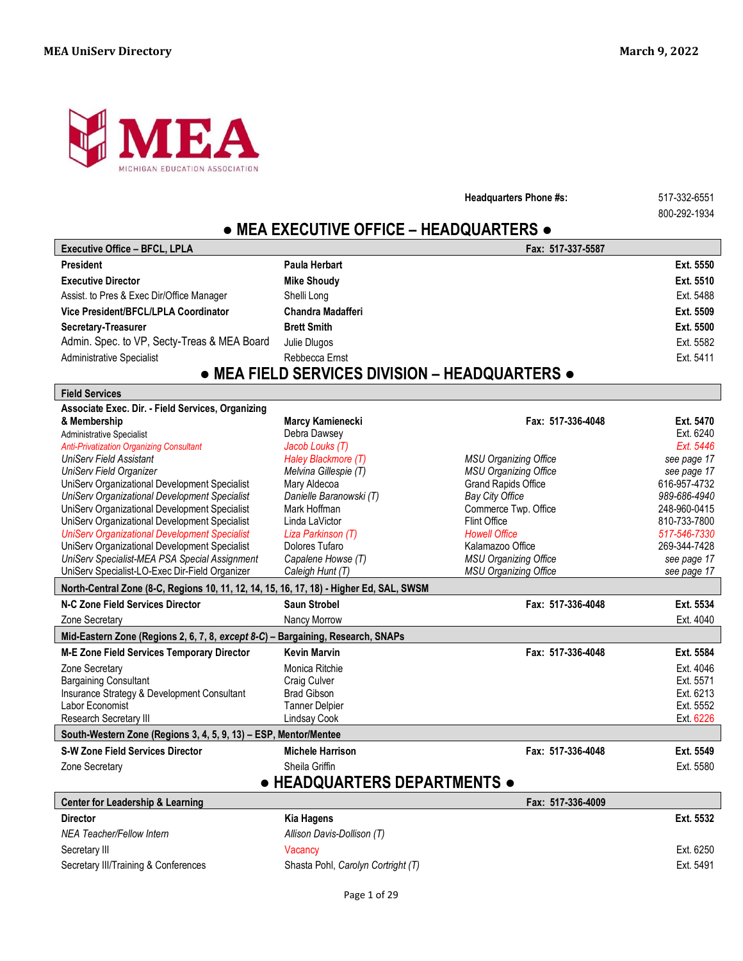

**Headquarters Phone #s:** 517-332-6551

800-292-1934

# **● MEA EXECUTIVE OFFICE – HEADQUARTERS ●**

| <b>Executive Office - BFCL, LPLA</b>                                                    |                                                | Fax: 517-337-5587                                            |                             |
|-----------------------------------------------------------------------------------------|------------------------------------------------|--------------------------------------------------------------|-----------------------------|
| <b>President</b>                                                                        | Paula Herbart                                  |                                                              | Ext. 5550                   |
| <b>Executive Director</b>                                                               | <b>Mike Shoudy</b>                             |                                                              | Ext. 5510                   |
| Assist. to Pres & Exec Dir/Office Manager                                               | Shelli Long                                    |                                                              | Ext. 5488                   |
| Vice President/BFCL/LPLA Coordinator                                                    | <b>Chandra Madafferi</b>                       |                                                              | Ext. 5509                   |
| Secretary-Treasurer                                                                     | <b>Brett Smith</b>                             |                                                              | Ext. 5500                   |
| Admin. Spec. to VP, Secty-Treas & MEA Board                                             | Julie Dlugos                                   |                                                              | Ext. 5582                   |
| <b>Administrative Specialist</b>                                                        | Rebbecca Ernst                                 |                                                              | Ext. 5411                   |
|                                                                                         | • MEA FIELD SERVICES DIVISION - HEADQUARTERS • |                                                              |                             |
| <b>Field Services</b>                                                                   |                                                |                                                              |                             |
| Associate Exec. Dir. - Field Services, Organizing                                       |                                                |                                                              |                             |
| & Membership                                                                            | Marcy Kamienecki                               | Fax: 517-336-4048                                            | Ext. 5470                   |
| Administrative Specialist                                                               | Debra Dawsey                                   |                                                              | Ext. 6240                   |
| <b>Anti-Privatization Organizing Consultant</b>                                         | Jacob Louks (T)                                |                                                              | Ext. 5446                   |
| <b>UniServ Field Assistant</b><br>UniServ Field Organizer                               | Haley Blackmore (T)<br>Melvina Gillespie (T)   | <b>MSU Organizing Office</b><br><b>MSU Organizing Office</b> | see page 17                 |
| UniServ Organizational Development Specialist                                           | Mary Aldecoa                                   | <b>Grand Rapids Office</b>                                   | see page 17<br>616-957-4732 |
| UniServ Organizational Development Specialist                                           | Danielle Baranowski (T)                        | Bay City Office                                              | 989-686-4940                |
| UniServ Organizational Development Specialist                                           | Mark Hoffman                                   | Commerce Twp. Office                                         | 248-960-0415                |
| UniServ Organizational Development Specialist                                           | Linda LaVictor                                 | <b>Flint Office</b>                                          | 810-733-7800                |
| <b>UniServ Organizational Development Specialist</b>                                    | Liza Parkinson (T)                             | <b>Howell Office</b>                                         | 517-546-7330                |
| UniServ Organizational Development Specialist                                           | Dolores Tufaro                                 | Kalamazoo Office                                             | 269-344-7428                |
| UniServ Specialist-MEA PSA Special Assignment                                           | Capalene Howse (T)                             | <b>MSU Organizing Office</b>                                 | see page 17                 |
| UniServ Specialist-LO-Exec Dir-Field Organizer                                          | Caleigh Hunt (T)                               | <b>MSU Organizing Office</b>                                 | see page 17                 |
| North-Central Zone (8-C, Regions 10, 11, 12, 14, 15, 16, 17, 18) - Higher Ed, SAL, SWSM |                                                |                                                              |                             |
| N-C Zone Field Services Director                                                        | <b>Saun Strobel</b>                            | Fax: 517-336-4048                                            | Ext. 5534                   |
| Zone Secretary                                                                          | Nancy Morrow                                   |                                                              | Ext. 4040                   |
| Mid-Eastern Zone (Regions 2, 6, 7, 8, except 8-C) - Bargaining, Research, SNAPs         |                                                |                                                              |                             |
| M-E Zone Field Services Temporary Director                                              | <b>Kevin Marvin</b>                            | Fax: 517-336-4048                                            | Ext. 5584                   |
| Zone Secretary                                                                          | Monica Ritchie                                 |                                                              | Ext. 4046                   |
| <b>Bargaining Consultant</b>                                                            | Craig Culver                                   |                                                              | Ext. 5571                   |
| Insurance Strategy & Development Consultant                                             | <b>Brad Gibson</b>                             |                                                              | Ext. 6213                   |
| Labor Economist                                                                         | <b>Tanner Delpier</b>                          |                                                              | Ext. 5552                   |
| Research Secretary III                                                                  | Lindsay Cook                                   |                                                              | Ext. 6226                   |
| South-Western Zone (Regions 3, 4, 5, 9, 13) - ESP, Mentor/Mentee                        |                                                |                                                              |                             |
| <b>S-W Zone Field Services Director</b>                                                 | <b>Michele Harrison</b>                        | Fax: 517-336-4048                                            | Ext. 5549                   |
| Zone Secretary                                                                          | Sheila Griffin                                 |                                                              | Ext. 5580                   |
|                                                                                         | • HEADQUARTERS DEPARTMENTS •                   |                                                              |                             |
| <b>Center for Leadership &amp; Learning</b>                                             |                                                | Fax: 517-336-4009                                            |                             |
| <b>Director</b>                                                                         | Kia Hagens                                     |                                                              | Ext. 5532                   |
| <b>NEA Teacher/Fellow Intern</b>                                                        | Allison Davis-Dollison (T)                     |                                                              |                             |
| Secretary III                                                                           | Vacancy                                        |                                                              | Ext. 6250                   |
| Secretary III/Training & Conferences                                                    | Shasta Pohl, Carolyn Cortright (T)             |                                                              | Ext. 5491                   |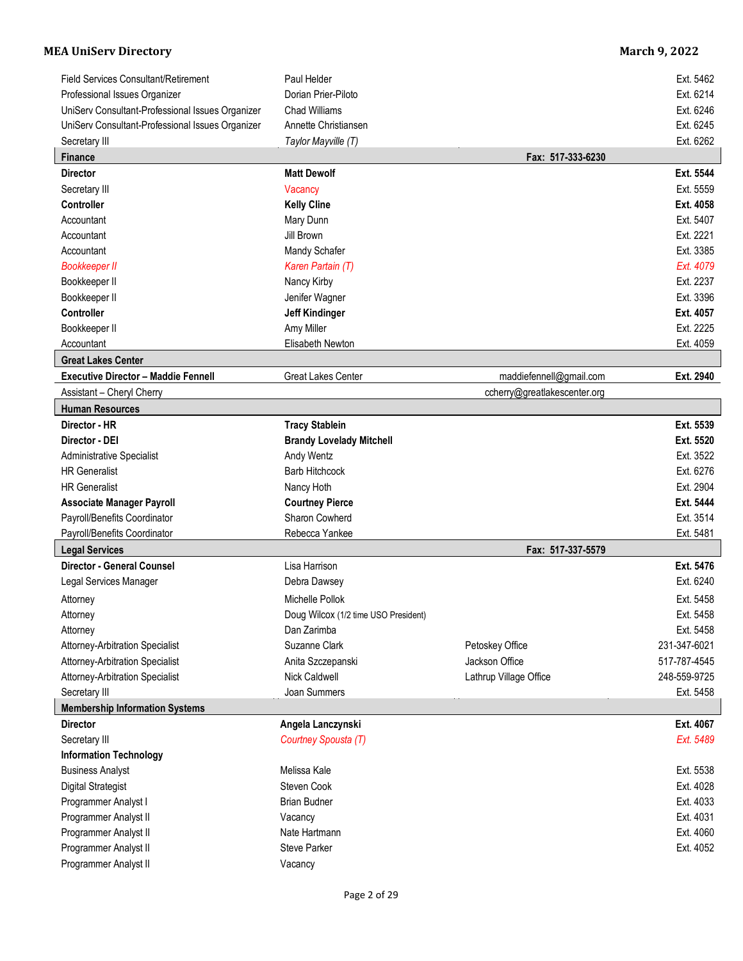| Field Services Consultant/Retirement             | Paul Helder                          |                              | Ext. 5462    |
|--------------------------------------------------|--------------------------------------|------------------------------|--------------|
| Professional Issues Organizer                    | Dorian Prier-Piloto                  |                              | Ext. 6214    |
| UniServ Consultant-Professional Issues Organizer | <b>Chad Williams</b>                 |                              | Ext. 6246    |
| UniServ Consultant-Professional Issues Organizer | Annette Christiansen                 |                              | Ext. 6245    |
| Secretary III                                    | Taylor Mayville (T)                  |                              | Ext. 6262    |
| <b>Finance</b>                                   |                                      | Fax: 517-333-6230            |              |
| <b>Director</b>                                  | <b>Matt Dewolf</b>                   |                              | Ext. 5544    |
| Secretary III                                    | Vacancy                              |                              | Ext. 5559    |
| <b>Controller</b>                                | <b>Kelly Cline</b>                   |                              | Ext. 4058    |
| Accountant                                       | Mary Dunn                            |                              | Ext. 5407    |
| Accountant                                       | Jill Brown                           |                              | Ext. 2221    |
| Accountant                                       | Mandy Schafer                        |                              | Ext. 3385    |
| <b>Bookkeeper II</b>                             | Karen Partain (T)                    |                              | Ext. 4079    |
| Bookkeeper II                                    | Nancy Kirby                          |                              | Ext. 2237    |
| Bookkeeper II                                    | Jenifer Wagner                       |                              | Ext. 3396    |
| <b>Controller</b>                                | <b>Jeff Kindinger</b>                |                              | Ext. 4057    |
| Bookkeeper II                                    | Amy Miller                           |                              | Ext. 2225    |
| Accountant                                       | Elisabeth Newton                     |                              | Ext. 4059    |
| <b>Great Lakes Center</b>                        |                                      |                              |              |
| <b>Executive Director - Maddie Fennell</b>       | <b>Great Lakes Center</b>            | maddiefennell@gmail.com      | Ext. 2940    |
| Assistant - Cheryl Cherry                        |                                      | ccherry@greatlakescenter.org |              |
| <b>Human Resources</b>                           |                                      |                              |              |
| Director - HR                                    | <b>Tracy Stablein</b>                |                              | Ext. 5539    |
| Director - DEI                                   | <b>Brandy Lovelady Mitchell</b>      |                              | Ext. 5520    |
| <b>Administrative Specialist</b>                 | Andy Wentz                           |                              | Ext. 3522    |
| <b>HR Generalist</b>                             | <b>Barb Hitchcock</b>                |                              | Ext. 6276    |
| <b>HR Generalist</b>                             | Nancy Hoth                           |                              | Ext. 2904    |
| <b>Associate Manager Payroll</b>                 | <b>Courtney Pierce</b>               |                              | Ext. 5444    |
| Payroll/Benefits Coordinator                     | Sharon Cowherd                       |                              | Ext. 3514    |
| Payroll/Benefits Coordinator                     | Rebecca Yankee                       |                              | Ext. 5481    |
| <b>Legal Services</b>                            |                                      | Fax: 517-337-5579            |              |
| <b>Director - General Counsel</b>                | Lisa Harrison                        |                              | Ext. 5476    |
| Legal Services Manager                           | Debra Dawsey                         |                              | Ext. 6240    |
| Attorney                                         | Michelle Pollok                      |                              | Ext. 5458    |
| Attorney                                         | Doug Wilcox (1/2 time USO President) |                              | Ext. 5458    |
| Attorney                                         | Dan Zarimba                          |                              | Ext. 5458    |
| Attorney-Arbitration Specialist                  | Suzanne Clark                        | Petoskey Office              | 231-347-6021 |
| <b>Attorney-Arbitration Specialist</b>           | Anita Szczepanski                    | Jackson Office               | 517-787-4545 |
| <b>Attorney-Arbitration Specialist</b>           | Nick Caldwell                        | Lathrup Village Office       | 248-559-9725 |
| Secretary III                                    | Joan Summers                         |                              | Ext. 5458    |
| <b>Membership Information Systems</b>            |                                      |                              |              |
| <b>Director</b>                                  | Angela Lanczynski                    |                              | Ext. 4067    |
| Secretary III                                    | Courtney Spousta (T)                 |                              | Ext. 5489    |
| <b>Information Technology</b>                    |                                      |                              |              |
| <b>Business Analyst</b>                          | Melissa Kale                         |                              | Ext. 5538    |
| <b>Digital Strategist</b>                        | Steven Cook                          |                              | Ext. 4028    |
| Programmer Analyst I                             | <b>Brian Budner</b>                  |                              | Ext. 4033    |
| Programmer Analyst II                            | Vacancy                              |                              | Ext. 4031    |
| Programmer Analyst II                            | Nate Hartmann                        |                              | Ext. 4060    |
| Programmer Analyst II                            | <b>Steve Parker</b>                  |                              | Ext. 4052    |
| Programmer Analyst II                            | Vacancy                              |                              |              |
|                                                  |                                      |                              |              |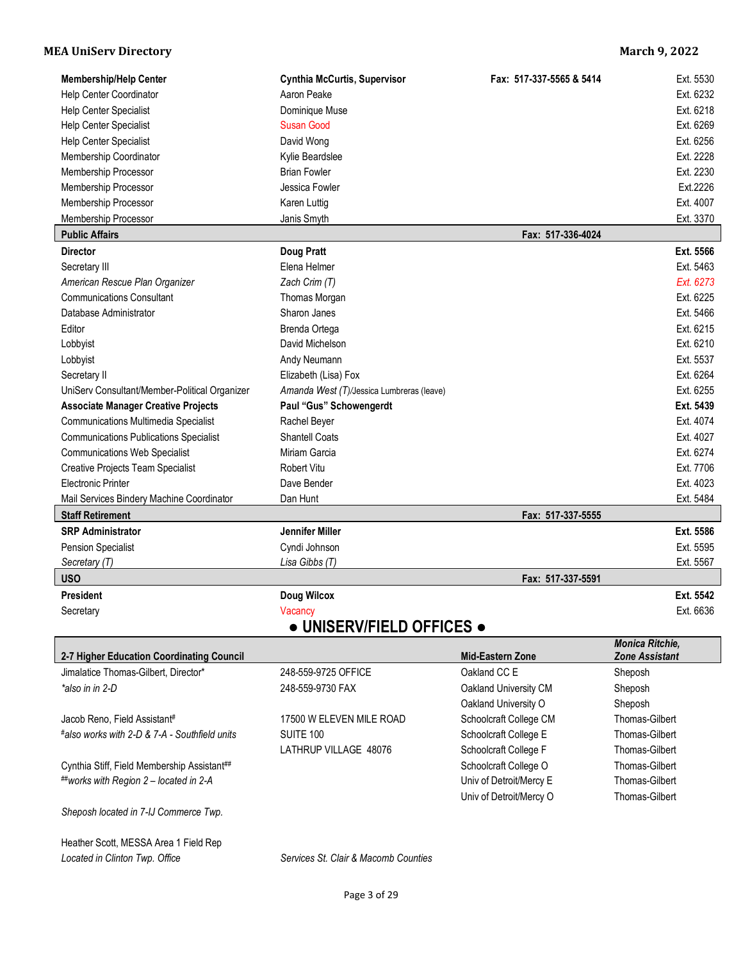| <b>Membership/Help Center</b>                 | <b>Cynthia McCurtis, Supervisor</b>       | Fax: 517-337-5565 & 5414 | Ext. 5530              |
|-----------------------------------------------|-------------------------------------------|--------------------------|------------------------|
| Help Center Coordinator                       | Aaron Peake                               |                          | Ext. 6232              |
| Help Center Specialist                        | Dominique Muse                            |                          | Ext. 6218              |
| Help Center Specialist                        | <b>Susan Good</b>                         |                          | Ext. 6269              |
| <b>Help Center Specialist</b>                 | David Wong                                |                          | Ext. 6256              |
| Membership Coordinator                        | Kylie Beardslee                           |                          | Ext. 2228              |
| Membership Processor                          | <b>Brian Fowler</b>                       |                          | Ext. 2230              |
| Membership Processor                          | Jessica Fowler                            |                          | Ext.2226               |
| Membership Processor                          | Karen Luttig                              |                          | Ext. 4007              |
| Membership Processor                          | Janis Smyth                               |                          | Ext. 3370              |
| <b>Public Affairs</b>                         |                                           | Fax: 517-336-4024        |                        |
| <b>Director</b>                               | <b>Doug Pratt</b>                         |                          | Ext. 5566              |
| Secretary III                                 | Elena Helmer                              |                          | Ext. 5463              |
| American Rescue Plan Organizer                | Zach Crim (T)                             |                          | Ext. 6273              |
| <b>Communications Consultant</b>              | Thomas Morgan                             |                          | Ext. 6225              |
| Database Administrator                        | Sharon Janes                              |                          | Ext. 5466              |
| Editor                                        | Brenda Ortega                             |                          | Ext. 6215              |
| Lobbyist                                      | David Michelson                           |                          | Ext. 6210              |
| Lobbyist                                      | Andy Neumann                              |                          | Ext. 5537              |
| Secretary II                                  | Elizabeth (Lisa) Fox                      |                          | Ext. 6264              |
| UniServ Consultant/Member-Political Organizer | Amanda West (T)/Jessica Lumbreras (leave) |                          | Ext. 6255              |
| <b>Associate Manager Creative Projects</b>    | Paul "Gus" Schowengerdt                   |                          | Ext. 5439              |
| <b>Communications Multimedia Specialist</b>   | Rachel Beyer                              |                          | Ext. 4074              |
| <b>Communications Publications Specialist</b> | <b>Shantell Coats</b>                     |                          | Ext. 4027              |
| <b>Communications Web Specialist</b>          | Miriam Garcia                             |                          | Ext. 6274              |
| <b>Creative Projects Team Specialist</b>      | <b>Robert Vitu</b>                        |                          | Ext. 7706              |
| <b>Electronic Printer</b>                     | Dave Bender                               |                          | Ext. 4023              |
| Mail Services Bindery Machine Coordinator     | Dan Hunt                                  |                          | Ext. 5484              |
| <b>Staff Retirement</b>                       |                                           | Fax: 517-337-5555        |                        |
| <b>SRP Administrator</b>                      | Jennifer Miller                           |                          | Ext. 5586              |
| <b>Pension Specialist</b>                     | Cyndi Johnson                             |                          | Ext. 5595              |
| Secretary (T)                                 | Lisa Gibbs (T)                            |                          | Ext. 5567              |
| <b>USO</b>                                    |                                           | Fax: 517-337-5591        |                        |
| <b>President</b>                              | <b>Doug Wilcox</b>                        |                          | Ext. 5542              |
| Secretary                                     | Vacancy                                   |                          | Ext. 6636              |
|                                               | • UNISERV/FIELD OFFICES •                 |                          |                        |
|                                               |                                           |                          | <b>Monica Ritchie.</b> |

| 2-7 Higher Education Coordinating Council     |                          | <b>Mid-Eastern Zone</b> | <b>Zone Assistant</b> |
|-----------------------------------------------|--------------------------|-------------------------|-----------------------|
| Jimalatice Thomas-Gilbert, Director*          | 248-559-9725 OFFICE      | Oakland CC E            | Sheposh               |
| *also in in 2-D                               | 248-559-9730 FAX         | Oakland University CM   | Sheposh               |
|                                               |                          | Oakland University O    | Sheposh               |
| Jacob Reno, Field Assistant#                  | 17500 W ELEVEN MILE ROAD | Schoolcraft College CM  | Thomas-Gilbert        |
| #also works with 2-D & 7-A - Southfield units | SUITE 100                | Schoolcraft College E   | Thomas-Gilbert        |
|                                               | LATHRUP VILLAGE 48076    | Schoolcraft College F   | Thomas-Gilbert        |
| Cynthia Stiff, Field Membership Assistant##   |                          | Schoolcraft College O   | Thomas-Gilbert        |
| ##works with Region $2$ – located in 2-A      |                          | Univ of Detroit/Mercy E | Thomas-Gilbert        |
|                                               |                          | Univ of Detroit/Mercy O | Thomas-Gilbert        |
| Sheposh located in 7-IJ Commerce Twp.         |                          |                         |                       |

Heather Scott, MESSA Area 1 Field Rep *Located in Clinton Twp. Office Services St. Clair & Macomb Counties*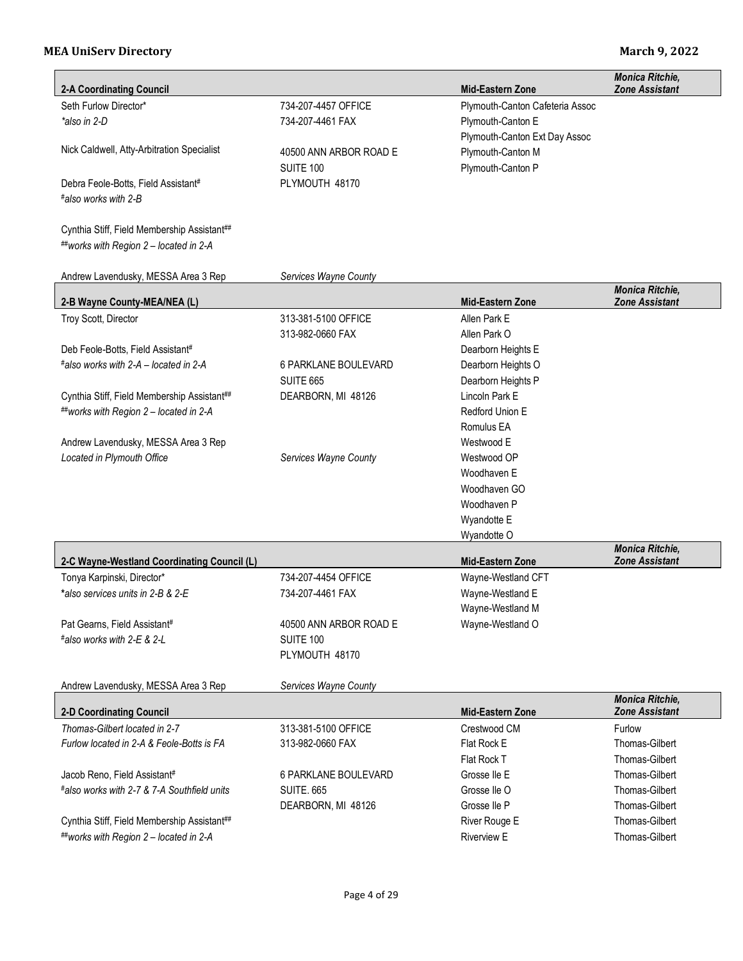| <b>2-A Coordinating Council</b>                                   |                        | <b>Mid-Eastern Zone</b>         | <b>Monica Ritchie,</b><br><b>Zone Assistant</b> |
|-------------------------------------------------------------------|------------------------|---------------------------------|-------------------------------------------------|
| Seth Furlow Director*                                             | 734-207-4457 OFFICE    | Plymouth-Canton Cafeteria Assoc |                                                 |
| *also in 2-D                                                      | 734-207-4461 FAX       | Plymouth-Canton E               |                                                 |
|                                                                   |                        | Plymouth-Canton Ext Day Assoc   |                                                 |
| Nick Caldwell, Atty-Arbitration Specialist                        | 40500 ANN ARBOR ROAD E | Plymouth-Canton M               |                                                 |
|                                                                   | SUITE 100              | Plymouth-Canton P               |                                                 |
| Debra Feole-Botts, Field Assistant#                               | PLYMOUTH 48170         |                                 |                                                 |
| #also works with 2-B                                              |                        |                                 |                                                 |
|                                                                   |                        |                                 |                                                 |
| Cynthia Stiff, Field Membership Assistant##                       |                        |                                 |                                                 |
| ##works with Region 2 - located in 2-A                            |                        |                                 |                                                 |
|                                                                   |                        |                                 |                                                 |
| Andrew Lavendusky, MESSA Area 3 Rep                               | Services Wayne County  |                                 |                                                 |
|                                                                   |                        |                                 | Monica Ritchie,                                 |
| 2-B Wayne County-MEA/NEA (L)                                      |                        | <b>Mid-Eastern Zone</b>         | <b>Zone Assistant</b>                           |
| Troy Scott, Director                                              | 313-381-5100 OFFICE    | Allen Park E                    |                                                 |
|                                                                   | 313-982-0660 FAX       | Allen Park O                    |                                                 |
| Deb Feole-Botts, Field Assistant#                                 |                        | Dearborn Heights E              |                                                 |
| #also works with 2-A – located in 2-A                             | 6 PARKLANE BOULEVARD   | Dearborn Heights O              |                                                 |
|                                                                   | <b>SUITE 665</b>       | Dearborn Heights P              |                                                 |
| Cynthia Stiff, Field Membership Assistant##                       | DEARBORN, MI 48126     | Lincoln Park E                  |                                                 |
| ##works with Region 2 - located in 2-A                            |                        | Redford Union E                 |                                                 |
|                                                                   |                        | Romulus EA                      |                                                 |
| Andrew Lavendusky, MESSA Area 3 Rep<br>Located in Plymouth Office | Services Wayne County  | Westwood E<br>Westwood OP       |                                                 |
|                                                                   |                        | Woodhaven E                     |                                                 |
|                                                                   |                        | Woodhaven GO                    |                                                 |
|                                                                   |                        | Woodhaven P                     |                                                 |
|                                                                   |                        | Wyandotte E                     |                                                 |
|                                                                   |                        | Wyandotte O                     |                                                 |
|                                                                   |                        |                                 | <b>Monica Ritchie,</b>                          |
| 2-C Wayne-Westland Coordinating Council (L)                       |                        | <b>Mid-Eastern Zone</b>         | <b>Zone Assistant</b>                           |
| Tonya Karpinski, Director*                                        | 734-207-4454 OFFICE    | Wayne-Westland CFT              |                                                 |
| *also services units in 2-B & 2-E                                 | 734-207-4461 FAX       | Wayne-Westland E                |                                                 |
|                                                                   |                        | Wayne-Westland M                |                                                 |
| Pat Gearns, Field Assistant#                                      | 40500 ANN ARBOR ROAD E | Wayne-Westland O                |                                                 |
| #also works with 2-E & 2-L                                        | <b>SUITE 100</b>       |                                 |                                                 |
|                                                                   | PLYMOUTH 48170         |                                 |                                                 |
| Andrew Lavendusky, MESSA Area 3 Rep                               | Services Wayne County  |                                 |                                                 |
|                                                                   |                        |                                 | Monica Ritchie,                                 |
| <b>2-D Coordinating Council</b>                                   |                        | <b>Mid-Eastern Zone</b>         | <b>Zone Assistant</b>                           |
| Thomas-Gilbert located in 2-7                                     | 313-381-5100 OFFICE    | Crestwood CM                    | Furlow                                          |
| Furlow located in 2-A & Feole-Botts is FA                         | 313-982-0660 FAX       | Flat Rock E                     | <b>Thomas-Gilbert</b>                           |
|                                                                   |                        | Flat Rock T                     | Thomas-Gilbert                                  |
| Jacob Reno, Field Assistant#                                      | 6 PARKLANE BOULEVARD   | Grosse Ile E                    | <b>Thomas-Gilbert</b>                           |
| #also works with 2-7 & 7-A Southfield units                       | <b>SUITE. 665</b>      | Grosse Ile O                    | Thomas-Gilbert                                  |
|                                                                   | DEARBORN, MI 48126     | Grosse Ile P                    | <b>Thomas-Gilbert</b>                           |
| Cynthia Stiff, Field Membership Assistant##                       |                        | River Rouge E                   | Thomas-Gilbert                                  |
| ##works with Region 2 - located in 2-A                            |                        | <b>Riverview E</b>              | Thomas-Gilbert                                  |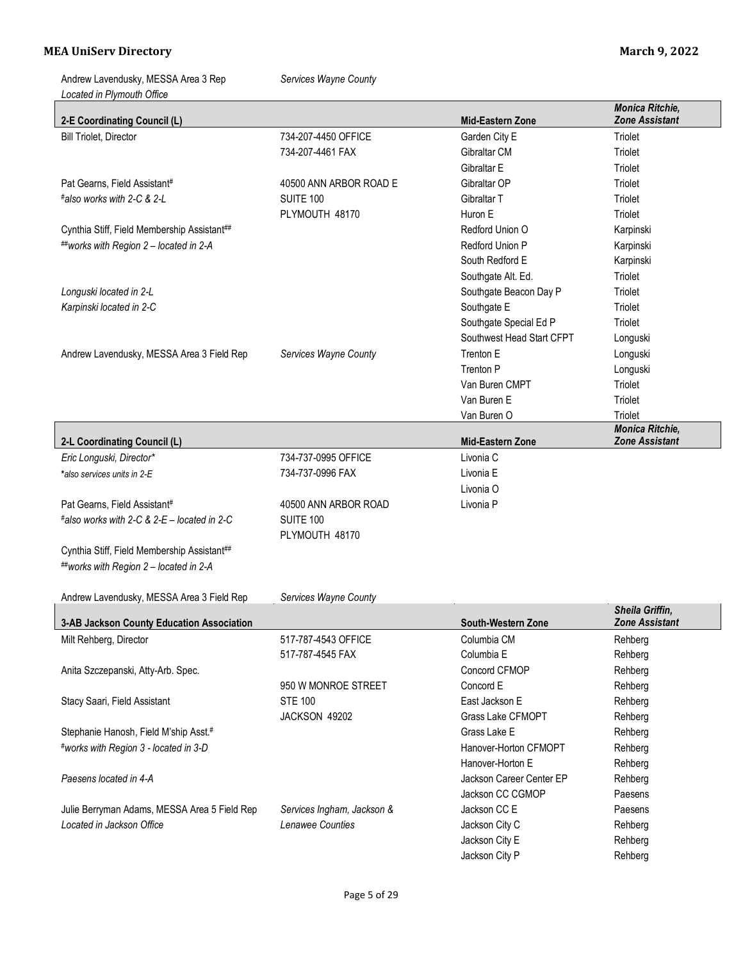| Located in Plymouth Office                                                |                                                |                                          | Monica Ritchie,                          |
|---------------------------------------------------------------------------|------------------------------------------------|------------------------------------------|------------------------------------------|
| 2-E Coordinating Council (L)<br><b>Bill Triolet, Director</b>             | 734-207-4450 OFFICE                            | <b>Mid-Eastern Zone</b><br>Garden City E | <b>Zone Assistant</b><br>Triolet         |
|                                                                           |                                                |                                          |                                          |
|                                                                           | 734-207-4461 FAX                               | Gibraltar CM                             | Triolet                                  |
|                                                                           |                                                | Gibraltar E                              | Triolet                                  |
| Pat Gearns, Field Assistant#                                              | 40500 ANN ARBOR ROAD E                         | Gibraltar OP                             | Triolet                                  |
| #also works with 2-C & 2-L                                                | SUITE 100                                      | Gibraltar T                              | Triolet                                  |
|                                                                           | PLYMOUTH 48170                                 | Huron E                                  | Triolet                                  |
| Cynthia Stiff, Field Membership Assistant##                               |                                                | Redford Union O                          | Karpinski                                |
| ##works with Region 2 - located in 2-A                                    |                                                | Redford Union P                          | Karpinski                                |
|                                                                           |                                                | South Redford E                          | Karpinski                                |
|                                                                           |                                                | Southgate Alt. Ed.                       | Triolet                                  |
| Longuski located in 2-L                                                   |                                                | Southgate Beacon Day P                   | Triolet                                  |
| Karpinski located in 2-C                                                  |                                                | Southgate E                              | Triolet                                  |
|                                                                           |                                                | Southgate Special Ed P                   | Triolet                                  |
|                                                                           |                                                | Southwest Head Start CFPT                | Longuski                                 |
| Andrew Lavendusky, MESSA Area 3 Field Rep                                 | Services Wayne County                          | Trenton E                                | Longuski                                 |
|                                                                           |                                                | Trenton P                                | Longuski                                 |
|                                                                           |                                                | Van Buren CMPT                           | Triolet                                  |
|                                                                           |                                                | Van Buren E                              | Triolet                                  |
|                                                                           |                                                | Van Buren O                              | Triolet                                  |
| 2-L Coordinating Council (L)                                              |                                                | <b>Mid-Eastern Zone</b>                  | Monica Ritchie,<br><b>Zone Assistant</b> |
| Eric Longuski, Director*                                                  | 734-737-0995 OFFICE                            | Livonia C                                |                                          |
| *also services units in 2-E                                               | 734-737-0996 FAX                               | Livonia E                                |                                          |
|                                                                           |                                                | Livonia O                                |                                          |
| Pat Gearns, Field Assistant#                                              | 40500 ANN ARBOR ROAD                           | Livonia P                                |                                          |
| #also works with 2-C & 2-E - located in 2-C                               | SUITE 100                                      |                                          |                                          |
|                                                                           | PLYMOUTH 48170                                 |                                          |                                          |
| Cynthia Stiff, Field Membership Assistant##                               |                                                |                                          |                                          |
| ##works with Region 2 - located in 2-A                                    |                                                |                                          |                                          |
|                                                                           |                                                |                                          |                                          |
| Andrew Lavendusky, MESSA Area 3 Field Rep                                 | Services Wayne County                          |                                          |                                          |
| 3-AB Jackson County Education Association                                 |                                                | South-Western Zone                       | Sheila Griffin,<br><b>Zone Assistant</b> |
| Milt Rehberg, Director                                                    | 517-787-4543 OFFICE                            | Columbia CM                              | Rehberg                                  |
|                                                                           | 517-787-4545 FAX                               | Columbia E                               | Rehberg                                  |
| Anita Szczepanski, Atty-Arb. Spec.                                        |                                                | Concord CFMOP                            | Rehberg                                  |
|                                                                           | 950 W MONROE STREET                            | Concord E                                | Rehberg                                  |
| Stacy Saari, Field Assistant                                              | <b>STE 100</b>                                 | East Jackson E                           | Rehberg                                  |
|                                                                           | JACKSON 49202                                  | Grass Lake CFMOPT                        | Rehberg                                  |
| Stephanie Hanosh, Field M'ship Asst.#                                     |                                                | Grass Lake E                             | Rehberg                                  |
| #works with Region 3 - located in 3-D                                     |                                                | Hanover-Horton CFMOPT                    |                                          |
|                                                                           |                                                |                                          | Rehberg                                  |
| Paesens located in 4-A                                                    |                                                | Hanover-Horton E                         | Rehberg                                  |
|                                                                           |                                                | Jackson Career Center EP                 | Rehberg                                  |
|                                                                           |                                                |                                          |                                          |
|                                                                           |                                                | Jackson CC CGMOP                         | Paesens                                  |
| Julie Berryman Adams, MESSA Area 5 Field Rep<br>Located in Jackson Office | Services Ingham, Jackson &<br>Lenawee Counties | Jackson CC E<br>Jackson City C           | Paesens<br>Rehberg                       |

Jackson City E Rehberg Jackson City P Rehberg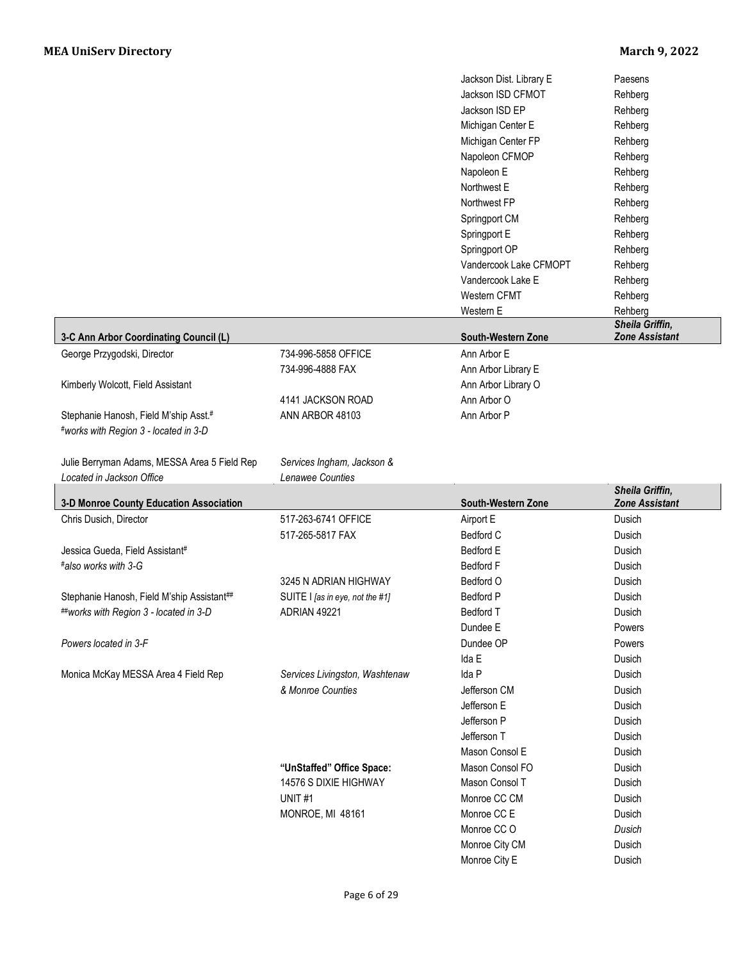|                                              |                                 | Jackson Dist. Library E         | Paesens               |
|----------------------------------------------|---------------------------------|---------------------------------|-----------------------|
|                                              |                                 | Jackson ISD CFMOT               | Rehberg               |
|                                              |                                 | Jackson ISD EP                  | Rehberg               |
|                                              |                                 | Michigan Center E               | Rehberg               |
|                                              |                                 | Michigan Center FP              | Rehberg               |
|                                              |                                 | Napoleon CFMOP                  | Rehberg               |
|                                              |                                 |                                 |                       |
|                                              |                                 | Napoleon E                      | Rehberg               |
|                                              |                                 | Northwest E                     | Rehberg               |
|                                              |                                 | Northwest FP                    | Rehberg               |
|                                              |                                 | Springport CM                   | Rehberg               |
|                                              |                                 | Springport E                    | Rehberg               |
|                                              |                                 | Springport OP                   | Rehberg               |
|                                              |                                 | Vandercook Lake CFMOPT          | Rehberg               |
|                                              |                                 | Vandercook Lake E               | Rehberg               |
|                                              |                                 | Western CFMT                    | Rehberg               |
|                                              |                                 | Western E                       | Rehberg               |
|                                              |                                 |                                 | Sheila Griffin,       |
| 3-C Ann Arbor Coordinating Council (L)       |                                 | South-Western Zone              | <b>Zone Assistant</b> |
| George Przygodski, Director                  | 734-996-5858 OFFICE             | Ann Arbor E                     |                       |
|                                              |                                 |                                 |                       |
|                                              | 734-996-4888 FAX                | Ann Arbor Library E             |                       |
| Kimberly Wolcott, Field Assistant            |                                 | Ann Arbor Library O             |                       |
|                                              | 4141 JACKSON ROAD               | Ann Arbor O                     |                       |
| Stephanie Hanosh, Field M'ship Asst.#        | ANN ARBOR 48103                 | Ann Arbor P                     |                       |
| #works with Region 3 - located in 3-D        |                                 |                                 |                       |
|                                              |                                 |                                 |                       |
| Julie Berryman Adams, MESSA Area 5 Field Rep | Services Ingham, Jackson &      |                                 |                       |
|                                              | Lenawee Counties                |                                 |                       |
|                                              |                                 |                                 |                       |
| Located in Jackson Office                    |                                 |                                 | Sheila Griffin,       |
| 3-D Monroe County Education Association      |                                 | South-Western Zone              | <b>Zone Assistant</b> |
| Chris Dusich, Director                       | 517-263-6741 OFFICE             | Airport E                       | Dusich                |
|                                              |                                 |                                 |                       |
|                                              | 517-265-5817 FAX                | Bedford C                       | Dusich                |
| Jessica Gueda, Field Assistant#              |                                 | Bedford E                       | Dusich                |
| #also works with 3-G                         |                                 | <b>Bedford F</b>                | Dusich                |
|                                              | 3245 N ADRIAN HIGHWAY           | Bedford O                       | Dusich                |
| Stephanie Hanosh, Field M'ship Assistant##   | SUITE I [as in eye, not the #1] | <b>Bedford P</b>                | Dusich                |
| ##works with Region 3 - located in 3-D       | ADRIAN 49221                    | Bedford T                       | Dusich                |
|                                              |                                 | Dundee E                        | Powers                |
| Powers located in 3-F                        |                                 | Dundee OP                       | Powers                |
|                                              |                                 | Ida E                           | Dusich                |
| Monica McKay MESSA Area 4 Field Rep          | Services Livingston, Washtenaw  | Ida P                           | Dusich                |
|                                              |                                 |                                 |                       |
|                                              | & Monroe Counties               | Jefferson CM                    | Dusich                |
|                                              |                                 | Jefferson E                     | Dusich                |
|                                              |                                 | Jefferson P                     | Dusich                |
|                                              |                                 | Jefferson T                     | Dusich                |
|                                              |                                 | Mason Consol E                  | Dusich                |
|                                              | "UnStaffed" Office Space:       | Mason Consol FO                 | Dusich                |
|                                              | 14576 S DIXIE HIGHWAY           | Mason Consol T                  | Dusich                |
|                                              | UNIT#1                          | Monroe CC CM                    | Dusich                |
|                                              | <b>MONROE, MI 48161</b>         | Monroe CC E                     | Dusich                |
|                                              |                                 | Monroe CC O                     | Dusich                |
|                                              |                                 |                                 |                       |
|                                              |                                 | Monroe City CM<br>Monroe City E | Dusich<br>Dusich      |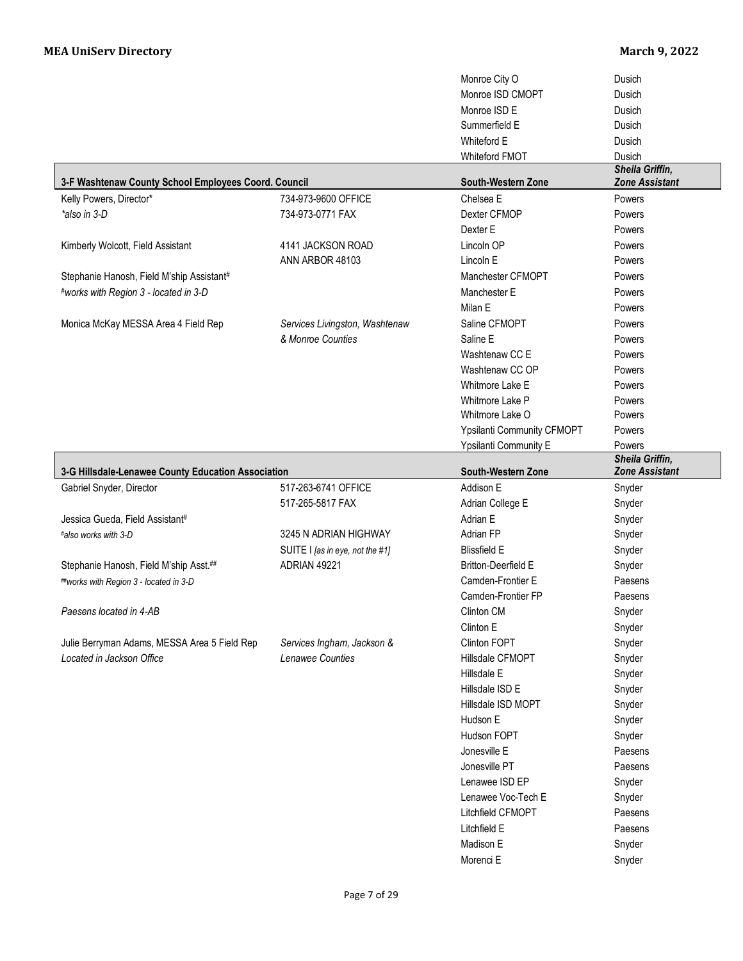|                                                      |                                 | Monroe City O              | Dusich                                   |
|------------------------------------------------------|---------------------------------|----------------------------|------------------------------------------|
|                                                      |                                 | Monroe ISD CMOPT           | Dusich                                   |
|                                                      |                                 | Monroe ISD E               | Dusich                                   |
|                                                      |                                 | Summerfield E              | Dusich                                   |
|                                                      |                                 | Whiteford E                | Dusich                                   |
|                                                      |                                 | <b>Whiteford FMOT</b>      | Dusich                                   |
| 3-F Washtenaw County School Employees Coord. Council |                                 | South-Western Zone         | Sheila Griffin,<br><b>Zone Assistant</b> |
| Kelly Powers, Director*                              | 734-973-9600 OFFICE             | Chelsea E                  | Powers                                   |
| *also in 3-D                                         | 734-973-0771 FAX                | Dexter CFMOP               | Powers                                   |
|                                                      |                                 | Dexter E                   | Powers                                   |
| Kimberly Wolcott, Field Assistant                    | 4141 JACKSON ROAD               | Lincoln OP                 | Powers                                   |
|                                                      | ANN ARBOR 48103                 | Lincoln E                  | Powers                                   |
| Stephanie Hanosh, Field M'ship Assistant#            |                                 | Manchester CFMOPT          | Powers                                   |
| #works with Region 3 - located in 3-D                |                                 | Manchester E               | Powers                                   |
|                                                      |                                 | Milan E                    | Powers                                   |
| Monica McKay MESSA Area 4 Field Rep                  | Services Livingston, Washtenaw  | Saline CFMOPT              | Powers                                   |
|                                                      | & Monroe Counties               | Saline E                   | Powers                                   |
|                                                      |                                 | Washtenaw CC E             | Powers                                   |
|                                                      |                                 | Washtenaw CC OP            | Powers                                   |
|                                                      |                                 | Whitmore Lake E            | Powers                                   |
|                                                      |                                 | Whitmore Lake P            | Powers                                   |
|                                                      |                                 | Whitmore Lake O            | Powers                                   |
|                                                      |                                 | Ypsilanti Community CFMOPT | Powers                                   |
|                                                      |                                 | Ypsilanti Community E      | Powers                                   |
|                                                      |                                 |                            | Sheila Griffin,                          |
| 3-G Hillsdale-Lenawee County Education Association   |                                 |                            |                                          |
|                                                      |                                 | South-Western Zone         | <b>Zone Assistant</b>                    |
| Gabriel Snyder, Director                             | 517-263-6741 OFFICE             | Addison E                  | Snyder                                   |
|                                                      | 517-265-5817 FAX                | Adrian College E           | Snyder                                   |
| Jessica Gueda, Field Assistant#                      |                                 | Adrian E                   | Snyder                                   |
| #also works with 3-D                                 | 3245 N ADRIAN HIGHWAY           | Adrian FP                  | Snyder                                   |
|                                                      | SUITE I [as in eye, not the #1] | <b>Blissfield E</b>        | Snyder                                   |
| Stephanie Hanosh, Field M'ship Asst.##               | ADRIAN 49221                    | <b>Britton-Deerfield E</b> | Snyder                                   |
| ##works with Region 3 - located in 3-D               |                                 | Camden-Frontier E          | Paesens                                  |
|                                                      |                                 | Camden-Frontier FP         | Paesens                                  |
| Paesens located in 4-AB                              |                                 | Clinton CM                 | Snyder                                   |
|                                                      |                                 | Clinton E                  | Snyder                                   |
| Julie Berryman Adams, MESSA Area 5 Field Rep         | Services Ingham, Jackson &      | Clinton FOPT               | Snyder                                   |
| Located in Jackson Office                            | Lenawee Counties                | Hillsdale CFMOPT           | Snyder                                   |
|                                                      |                                 | Hillsdale E                | Snyder                                   |
|                                                      |                                 | Hillsdale ISD E            | Snyder                                   |
|                                                      |                                 | Hillsdale ISD MOPT         | Snyder                                   |
|                                                      |                                 | Hudson E                   | Snyder                                   |
|                                                      |                                 | Hudson FOPT                | Snyder                                   |
|                                                      |                                 | Jonesville E               | Paesens                                  |
|                                                      |                                 | Jonesville PT              | Paesens                                  |
|                                                      |                                 | Lenawee ISD EP             | Snyder                                   |
|                                                      |                                 | Lenawee Voc-Tech E         | Snyder                                   |
|                                                      |                                 | Litchfield CFMOPT          | Paesens                                  |
|                                                      |                                 | Litchfield E               | Paesens                                  |
|                                                      |                                 | Madison E<br>Morenci E     | Snyder<br>Snyder                         |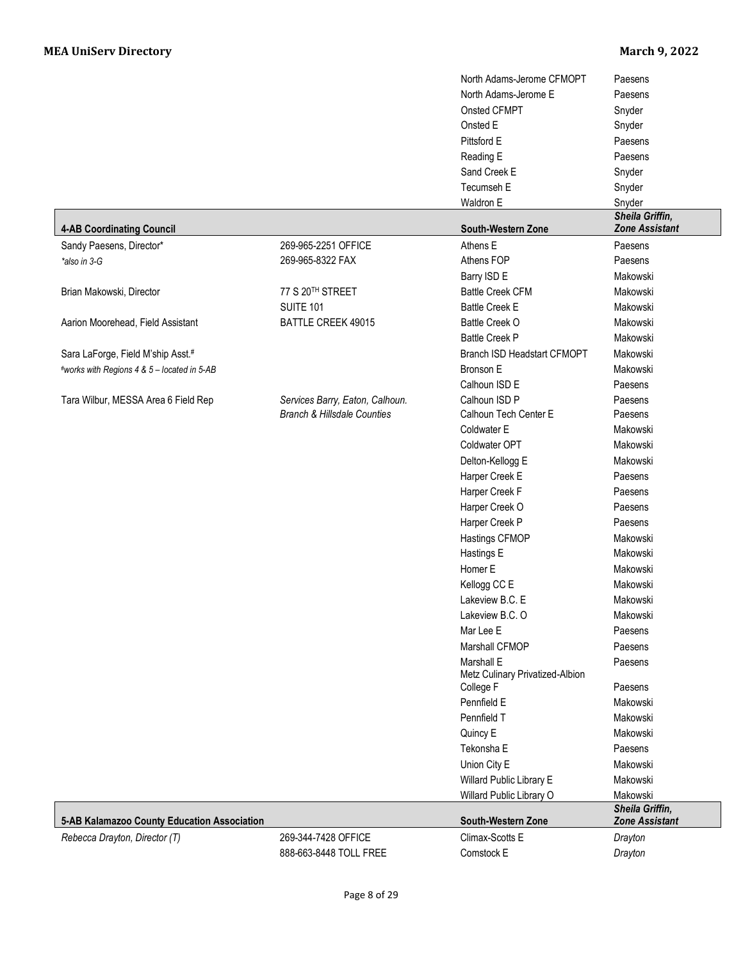|                                             |                                        | North Adams-Jerome CFMOPT                     | Paesens                                  |
|---------------------------------------------|----------------------------------------|-----------------------------------------------|------------------------------------------|
|                                             |                                        | North Adams-Jerome E                          | Paesens                                  |
|                                             |                                        | Onsted CFMPT                                  | Snyder                                   |
|                                             |                                        | Onsted E                                      | Snyder                                   |
|                                             |                                        | Pittsford E                                   | Paesens                                  |
|                                             |                                        | Reading E                                     | Paesens                                  |
|                                             |                                        | Sand Creek E                                  | Snyder                                   |
|                                             |                                        | Tecumseh E                                    | Snyder                                   |
|                                             |                                        | Waldron E                                     | Snyder                                   |
| <b>4-AB Coordinating Council</b>            |                                        | South-Western Zone                            | Sheila Griffin,<br><b>Zone Assistant</b> |
| Sandy Paesens, Director*                    | 269-965-2251 OFFICE                    | Athens E                                      | Paesens                                  |
| *also in 3-G                                | 269-965-8322 FAX                       | Athens FOP                                    | Paesens                                  |
|                                             |                                        | Barry ISD E                                   | Makowski                                 |
| Brian Makowski, Director                    | 77 S 20TH STREET                       | <b>Battle Creek CFM</b>                       | Makowski                                 |
|                                             | <b>SUITE 101</b>                       | <b>Battle Creek E</b>                         | Makowski                                 |
| Aarion Moorehead, Field Assistant           | BATTLE CREEK 49015                     | Battle Creek O                                | Makowski                                 |
|                                             |                                        | <b>Battle Creek P</b>                         | Makowski                                 |
| Sara LaForge, Field M'ship Asst.#           |                                        | Branch ISD Headstart CFMOPT                   | Makowski                                 |
| #works with Regions 4 & 5 - located in 5-AB |                                        | Bronson E                                     | Makowski                                 |
|                                             |                                        | Calhoun ISD E                                 | Paesens                                  |
| Tara Wilbur, MESSA Area 6 Field Rep         | Services Barry, Eaton, Calhoun.        | Calhoun ISD P                                 | Paesens                                  |
|                                             | <b>Branch &amp; Hillsdale Counties</b> | Calhoun Tech Center E                         | Paesens                                  |
|                                             |                                        | Coldwater E                                   | Makowski                                 |
|                                             |                                        | Coldwater OPT                                 | Makowski                                 |
|                                             |                                        | Delton-Kellogg E                              | Makowski                                 |
|                                             |                                        | Harper Creek E                                | Paesens                                  |
|                                             |                                        | Harper Creek F                                | Paesens                                  |
|                                             |                                        | Harper Creek O                                | Paesens                                  |
|                                             |                                        | Harper Creek P                                | Paesens                                  |
|                                             |                                        | Hastings CFMOP                                | Makowski                                 |
|                                             |                                        | Hastings E                                    | Makowski                                 |
|                                             |                                        | Homer E                                       | Makowski                                 |
|                                             |                                        | Kellogg CC E                                  | Makowski                                 |
|                                             |                                        | Lakeview B.C. E                               | Makowski                                 |
|                                             |                                        | Lakeview B.C. O                               | Makowski                                 |
|                                             |                                        | Mar Lee E                                     | Paesens                                  |
|                                             |                                        | Marshall CFMOP                                | Paesens                                  |
|                                             |                                        | Marshall E<br>Metz Culinary Privatized-Albion | Paesens                                  |
|                                             |                                        | College F                                     | Paesens                                  |
|                                             |                                        | Pennfield E                                   | Makowski                                 |
|                                             |                                        | Pennfield T                                   | Makowski                                 |
|                                             |                                        | Quincy E                                      | Makowski                                 |
|                                             |                                        | Tekonsha E                                    | Paesens                                  |
|                                             |                                        | Union City E                                  | Makowski                                 |
|                                             |                                        | Willard Public Library E                      | Makowski                                 |
|                                             |                                        | Willard Public Library O                      | Makowski<br>Sheila Griffin,              |
| 5-AB Kalamazoo County Education Association |                                        | South-Western Zone                            | <b>Zone Assistant</b>                    |
| Rebecca Drayton, Director (T)               | 269-344-7428 OFFICE                    | Climax-Scotts E                               | Drayton                                  |
|                                             | 888-663-8448 TOLL FREE                 | Comstock E                                    | Drayton                                  |
|                                             |                                        |                                               |                                          |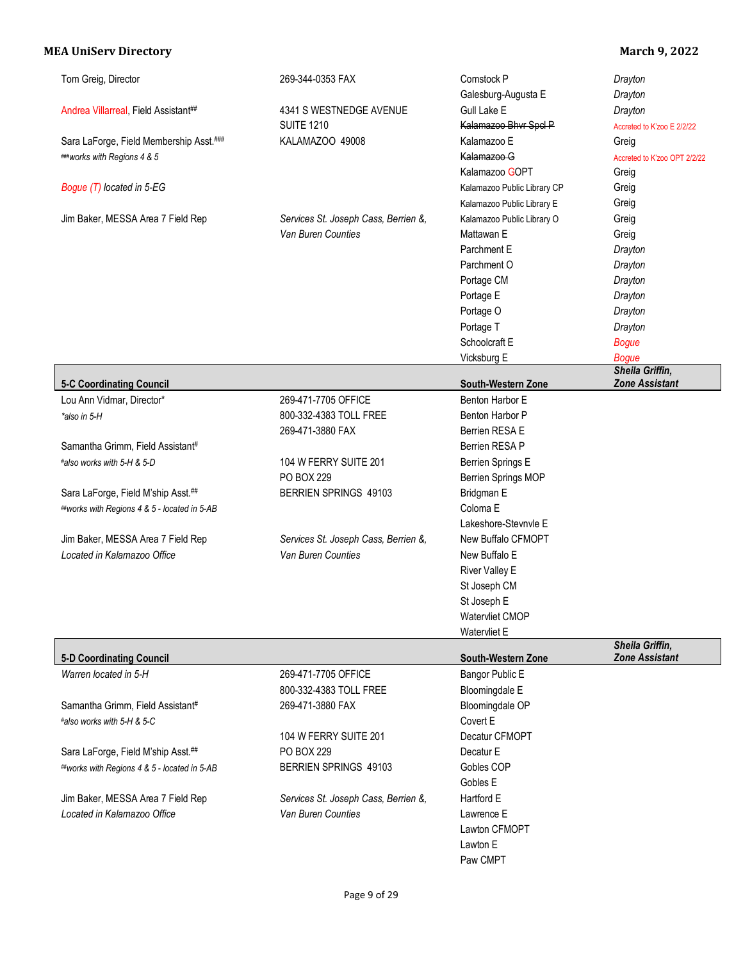| Tom Greig, Director                                              | 269-344-0353 FAX                                           | Comstock P                  | Drayton                      |
|------------------------------------------------------------------|------------------------------------------------------------|-----------------------------|------------------------------|
|                                                                  |                                                            | Galesburg-Augusta E         | Drayton                      |
| Andrea Villarreal, Field Assistant##                             | 4341 S WESTNEDGE AVENUE                                    | Gull Lake E                 | Drayton                      |
|                                                                  | <b>SUITE 1210</b>                                          | Kalamazoo Bhvr Spcl P       | Accreted to K'zoo E 2/2/22   |
| Sara LaForge, Field Membership Asst.###                          | KALAMAZOO 49008                                            | Kalamazoo E                 | Greig                        |
| ###works with Regions 4 & 5                                      |                                                            | Kalamazoo G                 | Accreted to K'zoo OPT 2/2/22 |
|                                                                  |                                                            | Kalamazoo GOPT              | Greig                        |
| Bogue (T) located in 5-EG                                        |                                                            | Kalamazoo Public Library CP | Greig                        |
|                                                                  |                                                            | Kalamazoo Public Library E  | Greig                        |
| Jim Baker, MESSA Area 7 Field Rep                                | Services St. Joseph Cass, Berrien &,                       | Kalamazoo Public Library O  | Greig                        |
|                                                                  | Van Buren Counties                                         | Mattawan E                  | Greig                        |
|                                                                  |                                                            | Parchment E                 | Drayton                      |
|                                                                  |                                                            | Parchment O                 | Drayton                      |
|                                                                  |                                                            | Portage CM                  | Drayton                      |
|                                                                  |                                                            | Portage E                   | Drayton                      |
|                                                                  |                                                            | Portage O                   | Drayton                      |
|                                                                  |                                                            | Portage T                   | Drayton                      |
|                                                                  |                                                            | Schoolcraft E               | <b>Bogue</b>                 |
|                                                                  |                                                            | Vicksburg E                 | <b>Bogue</b>                 |
|                                                                  |                                                            |                             | Sheila Griffin,              |
| <b>5-C Coordinating Council</b>                                  |                                                            | South-Western Zone          | <b>Zone Assistant</b>        |
| Lou Ann Vidmar, Director*                                        | 269-471-7705 OFFICE                                        | Benton Harbor E             |                              |
| *also in 5-H                                                     | 800-332-4383 TOLL FREE                                     | Benton Harbor P             |                              |
|                                                                  | 269-471-3880 FAX                                           | Berrien RESA E              |                              |
| Samantha Grimm, Field Assistant#                                 |                                                            | Berrien RESA P              |                              |
| #also works with 5-H & 5-D                                       | 104 W FERRY SUITE 201                                      | Berrien Springs E           |                              |
|                                                                  | <b>PO BOX 229</b>                                          | Berrien Springs MOP         |                              |
| Sara LaForge, Field M'ship Asst.##                               | BERRIEN SPRINGS 49103                                      | Bridgman E                  |                              |
| ##works with Regions 4 & 5 - located in 5-AB                     |                                                            | Coloma E                    |                              |
|                                                                  |                                                            | Lakeshore-Stevnvle E        |                              |
| Jim Baker, MESSA Area 7 Field Rep                                | Services St. Joseph Cass, Berrien &,                       | New Buffalo CFMOPT          |                              |
| Located in Kalamazoo Office                                      | Van Buren Counties                                         | New Buffalo E               |                              |
|                                                                  |                                                            | <b>River Valley E</b>       |                              |
|                                                                  |                                                            | St Joseph CM                |                              |
|                                                                  |                                                            | St Joseph E                 |                              |
|                                                                  |                                                            |                             |                              |
|                                                                  |                                                            |                             |                              |
|                                                                  |                                                            | Watervliet CMOP             |                              |
|                                                                  |                                                            | Watervliet E                | Sheila Griffin,              |
| <b>5-D Coordinating Council</b>                                  |                                                            | South-Western Zone          | <b>Zone Assistant</b>        |
| Warren located in 5-H                                            | 269-471-7705 OFFICE                                        | Bangor Public E             |                              |
|                                                                  | 800-332-4383 TOLL FREE                                     | Bloomingdale E              |                              |
| Samantha Grimm, Field Assistant#                                 | 269-471-3880 FAX                                           | Bloomingdale OP             |                              |
| #also works with 5-H & 5-C                                       |                                                            | Covert E                    |                              |
|                                                                  | 104 W FERRY SUITE 201                                      | Decatur CFMOPT              |                              |
| Sara LaForge, Field M'ship Asst.##                               | PO BOX 229                                                 | Decatur E                   |                              |
| ##works with Regions 4 & 5 - located in 5-AB                     | BERRIEN SPRINGS 49103                                      | Gobles COP                  |                              |
|                                                                  |                                                            | Gobles E                    |                              |
|                                                                  |                                                            | Hartford E                  |                              |
| Jim Baker, MESSA Area 7 Field Rep<br>Located in Kalamazoo Office | Services St. Joseph Cass, Berrien &,<br>Van Buren Counties | Lawrence E                  |                              |
|                                                                  |                                                            |                             |                              |
|                                                                  |                                                            | Lawton CFMOPT               |                              |
|                                                                  |                                                            | Lawton E<br>Paw CMPT        |                              |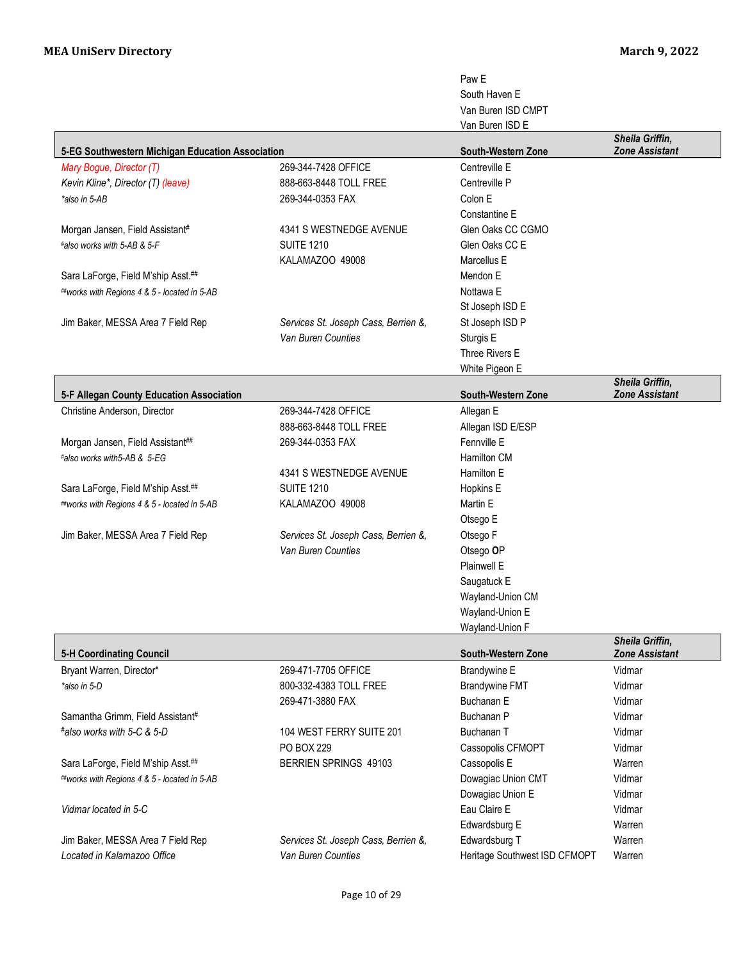|                                                  |                                      | Paw <sub>E</sub>              |                                          |
|--------------------------------------------------|--------------------------------------|-------------------------------|------------------------------------------|
|                                                  |                                      | South Haven E                 |                                          |
|                                                  |                                      | Van Buren ISD CMPT            |                                          |
|                                                  |                                      | Van Buren ISD E               |                                          |
| 5-EG Southwestern Michigan Education Association |                                      | <b>South-Western Zone</b>     | Sheila Griffin,<br><b>Zone Assistant</b> |
| Mary Bogue, Director (T)                         | 269-344-7428 OFFICE                  | Centreville E                 |                                          |
| Kevin Kline*, Director (T) (leave)               | 888-663-8448 TOLL FREE               | Centreville P                 |                                          |
| *also in 5-AB                                    | 269-344-0353 FAX                     | Colon E                       |                                          |
|                                                  |                                      | Constantine E                 |                                          |
| Morgan Jansen, Field Assistant#                  | 4341 S WESTNEDGE AVENUE              | Glen Oaks CC CGMO             |                                          |
| #also works with 5-AB & 5-F                      | <b>SUITE 1210</b>                    | Glen Oaks CC E                |                                          |
|                                                  | KALAMAZOO 49008                      | Marcellus E                   |                                          |
| Sara LaForge, Field M'ship Asst.##               |                                      | Mendon E                      |                                          |
| ##works with Regions 4 & 5 - located in 5-AB     |                                      | Nottawa E                     |                                          |
|                                                  |                                      | St Joseph ISD E               |                                          |
| Jim Baker, MESSA Area 7 Field Rep                | Services St. Joseph Cass, Berrien &, | St Joseph ISD P               |                                          |
|                                                  | Van Buren Counties                   | Sturgis E                     |                                          |
|                                                  |                                      | Three Rivers E                |                                          |
|                                                  |                                      | White Pigeon E                |                                          |
| 5-F Allegan County Education Association         |                                      | <b>South-Western Zone</b>     | Sheila Griffin,<br><b>Zone Assistant</b> |
| Christine Anderson, Director                     | 269-344-7428 OFFICE                  | Allegan E                     |                                          |
|                                                  | 888-663-8448 TOLL FREE               | Allegan ISD E/ESP             |                                          |
| Morgan Jansen, Field Assistant##                 | 269-344-0353 FAX                     | Fennville E                   |                                          |
| #also works with5-AB & 5-EG                      |                                      | Hamilton CM                   |                                          |
|                                                  | 4341 S WESTNEDGE AVENUE              | Hamilton E                    |                                          |
| Sara LaForge, Field M'ship Asst.##               | <b>SUITE 1210</b>                    | Hopkins E                     |                                          |
| ##works with Regions 4 & 5 - located in 5-AB     | KALAMAZOO 49008                      | Martin E                      |                                          |
|                                                  |                                      | Otsego E                      |                                          |
| Jim Baker, MESSA Area 7 Field Rep                | Services St. Joseph Cass, Berrien &, | Otsego F                      |                                          |
|                                                  | Van Buren Counties                   | Otsego OP                     |                                          |
|                                                  |                                      | Plainwell E                   |                                          |
|                                                  |                                      | Saugatuck E                   |                                          |
|                                                  |                                      | Wayland-Union CM              |                                          |
|                                                  |                                      | Wavland-Union E               |                                          |
|                                                  |                                      | Wayland-Union F               |                                          |
|                                                  |                                      |                               | Sheila Griffin,                          |
| <b>5-H Coordinating Council</b>                  |                                      | South-Western Zone            | <b>Zone Assistant</b>                    |
| Bryant Warren, Director*                         | 269-471-7705 OFFICE                  | Brandywine E                  | Vidmar                                   |
| *also in 5-D                                     | 800-332-4383 TOLL FREE               | <b>Brandywine FMT</b>         | Vidmar                                   |
|                                                  | 269-471-3880 FAX                     | Buchanan E                    | Vidmar                                   |
| Samantha Grimm, Field Assistant#                 |                                      | Buchanan P                    | Vidmar                                   |
| #also works with 5-C & 5-D                       | 104 WEST FERRY SUITE 201             | Buchanan T                    | Vidmar                                   |
|                                                  | <b>PO BOX 229</b>                    | Cassopolis CFMOPT             | Vidmar                                   |
| Sara LaForge, Field M'ship Asst.##               | BERRIEN SPRINGS 49103                | Cassopolis E                  | Warren                                   |
| ##works with Regions 4 & 5 - located in 5-AB     |                                      | Dowagiac Union CMT            | Vidmar                                   |
|                                                  |                                      | Dowagiac Union E              | Vidmar                                   |
| Vidmar located in 5-C                            |                                      | Eau Claire E                  | Vidmar                                   |
|                                                  |                                      | Edwardsburg E                 | Warren                                   |
| Jim Baker, MESSA Area 7 Field Rep                | Services St. Joseph Cass, Berrien &, | Edwardsburg T                 | Warren                                   |
| Located in Kalamazoo Office                      | Van Buren Counties                   | Heritage Southwest ISD CFMOPT | Warren                                   |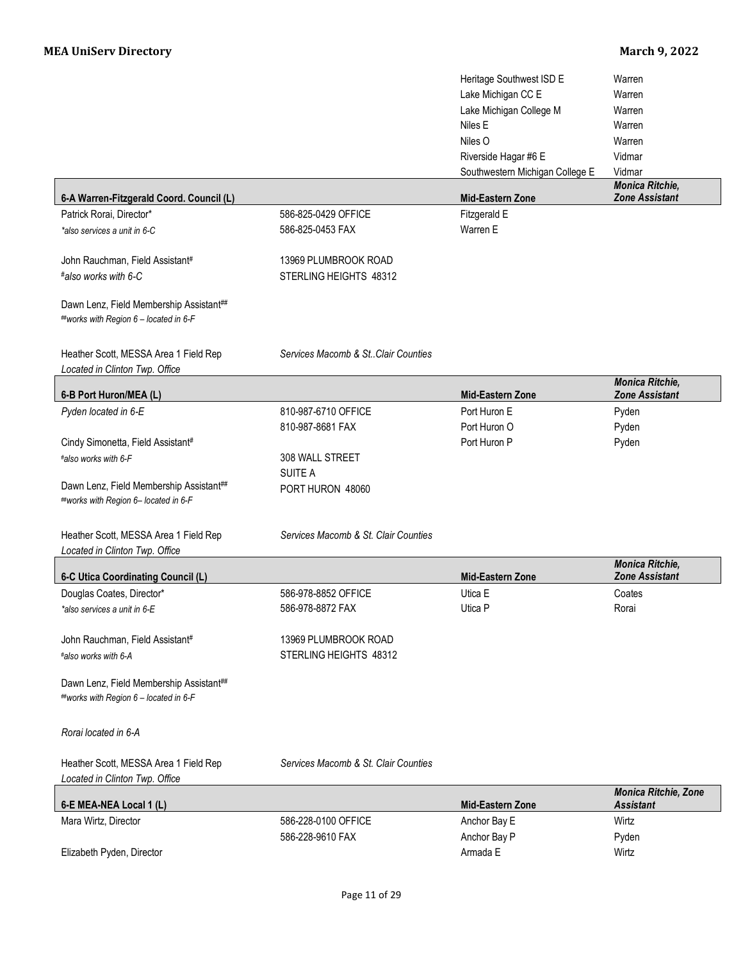|                                                                                   |                                      | Heritage Southwest ISD E<br>Lake Michigan CC E<br>Lake Michigan College M | Warren<br>Warren<br>Warren                      |
|-----------------------------------------------------------------------------------|--------------------------------------|---------------------------------------------------------------------------|-------------------------------------------------|
|                                                                                   |                                      | Niles E                                                                   | Warren                                          |
|                                                                                   |                                      | Niles O                                                                   | Warren                                          |
|                                                                                   |                                      | Riverside Hagar #6 E                                                      | Vidmar                                          |
|                                                                                   |                                      | Southwestern Michigan College E                                           | Vidmar                                          |
| 6-A Warren-Fitzgerald Coord. Council (L)                                          |                                      | Mid-Eastern Zone                                                          | Monica Ritchie,<br><b>Zone Assistant</b>        |
| Patrick Rorai, Director*                                                          | 586-825-0429 OFFICE                  | Fitzgerald E                                                              |                                                 |
| *also services a unit in 6-C                                                      | 586-825-0453 FAX                     | Warren E                                                                  |                                                 |
| John Rauchman, Field Assistant#                                                   | 13969 PLUMBROOK ROAD                 |                                                                           |                                                 |
| #also works with 6-C                                                              | STERLING HEIGHTS 48312               |                                                                           |                                                 |
| Dawn Lenz, Field Membership Assistant##<br>##works with Region 6 - located in 6-F |                                      |                                                                           |                                                 |
| Heather Scott, MESSA Area 1 Field Rep<br>Located in Clinton Twp. Office           | Services Macomb & St. Clair Counties |                                                                           |                                                 |
| 6-B Port Huron/MEA (L)                                                            |                                      | <b>Mid-Eastern Zone</b>                                                   | Monica Ritchie,<br><b>Zone Assistant</b>        |
| Pyden located in 6-E                                                              | 810-987-6710 OFFICE                  | Port Huron E                                                              | Pyden                                           |
|                                                                                   | 810-987-8681 FAX                     | Port Huron O                                                              | Pyden                                           |
| Cindy Simonetta, Field Assistant#                                                 |                                      | Port Huron P                                                              | Pyden                                           |
| #also works with 6-F                                                              | 308 WALL STREET                      |                                                                           |                                                 |
|                                                                                   | SUITE A                              |                                                                           |                                                 |
| Dawn Lenz, Field Membership Assistant##                                           | PORT HURON 48060                     |                                                                           |                                                 |
| ##works with Region 6- located in 6-F                                             |                                      |                                                                           |                                                 |
| Heather Scott, MESSA Area 1 Field Rep                                             | Services Macomb & St. Clair Counties |                                                                           |                                                 |
| Located in Clinton Twp. Office                                                    |                                      |                                                                           |                                                 |
| 6-C Utica Coordinating Council (L)                                                |                                      | Mid-Eastern Zone                                                          | <b>Monica Ritchie,</b><br><b>Zone Assistant</b> |
| Douglas Coates, Director*                                                         | 586-978-8852 OFFICE                  | Utica E                                                                   | Coates                                          |
| *also services a unit in 6-E                                                      | 586-978-8872 FAX                     | Utica P                                                                   | Rorai                                           |
|                                                                                   |                                      |                                                                           |                                                 |
| John Rauchman, Field Assistant#                                                   | 13969 PLUMBROOK ROAD                 |                                                                           |                                                 |
| #also works with 6-A                                                              | STERLING HEIGHTS 48312               |                                                                           |                                                 |
| Dawn Lenz, Field Membership Assistant##<br>##works with Region 6 - located in 6-F |                                      |                                                                           |                                                 |
| Rorai located in 6-A                                                              |                                      |                                                                           |                                                 |
| Heather Scott, MESSA Area 1 Field Rep<br>Located in Clinton Twp. Office           | Services Macomb & St. Clair Counties |                                                                           |                                                 |
| 6-E MEA-NEA Local 1 (L)                                                           |                                      | <b>Mid-Eastern Zone</b>                                                   | Monica Ritchie, Zone<br><b>Assistant</b>        |
| Mara Wirtz, Director                                                              | 586-228-0100 OFFICE                  | Anchor Bay E                                                              | Wirtz                                           |
|                                                                                   | 586-228-9610 FAX                     | Anchor Bay P                                                              | Pyden                                           |
| Elizabeth Pyden, Director                                                         |                                      | Armada E                                                                  | Wirtz                                           |
|                                                                                   |                                      |                                                                           |                                                 |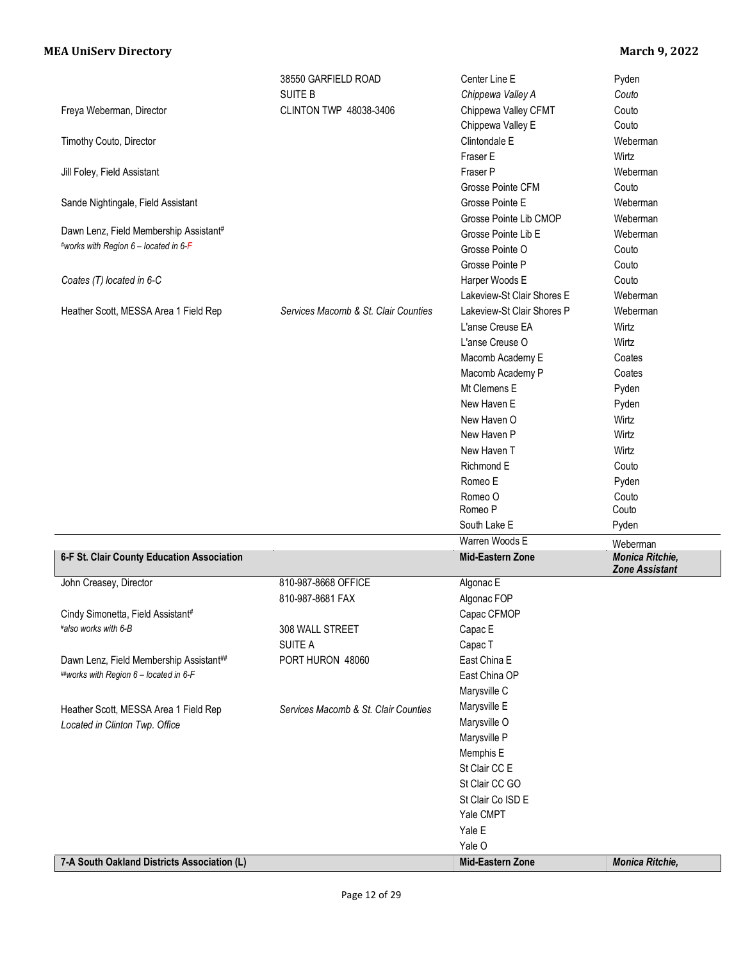|                                             | 38550 GARFIELD ROAD                  | Center Line E              | Pyden                                           |
|---------------------------------------------|--------------------------------------|----------------------------|-------------------------------------------------|
|                                             | <b>SUITE B</b>                       | Chippewa Valley A          | Couto                                           |
| Freya Weberman, Director                    | CLINTON TWP 48038-3406               | Chippewa Valley CFMT       | Couto                                           |
|                                             |                                      | Chippewa Valley E          | Couto                                           |
| Timothy Couto, Director                     |                                      | Clintondale E              | Weberman                                        |
|                                             |                                      | Fraser E                   | Wirtz                                           |
| Jill Foley, Field Assistant                 |                                      | Fraser P                   | Weberman                                        |
|                                             |                                      | Grosse Pointe CFM          | Couto                                           |
| Sande Nightingale, Field Assistant          |                                      | Grosse Pointe E            | Weberman                                        |
|                                             |                                      | Grosse Pointe Lib CMOP     | Weberman                                        |
| Dawn Lenz, Field Membership Assistant#      |                                      | Grosse Pointe Lib E        | Weberman                                        |
| #works with Region 6 - located in 6-F       |                                      | Grosse Pointe O            | Couto                                           |
|                                             |                                      | Grosse Pointe P            | Couto                                           |
| Coates (T) located in 6-C                   |                                      | Harper Woods E             | Couto                                           |
|                                             |                                      | Lakeview-St Clair Shores E | Weberman                                        |
| Heather Scott, MESSA Area 1 Field Rep       | Services Macomb & St. Clair Counties | Lakeview-St Clair Shores P | Weberman                                        |
|                                             |                                      | L'anse Creuse EA           | Wirtz                                           |
|                                             |                                      | L'anse Creuse O            | Wirtz                                           |
|                                             |                                      | Macomb Academy E           | Coates                                          |
|                                             |                                      | Macomb Academy P           | Coates                                          |
|                                             |                                      | Mt Clemens E               | Pyden                                           |
|                                             |                                      | New Haven E                | Pyden                                           |
|                                             |                                      | New Haven O                | Wirtz                                           |
|                                             |                                      | New Haven P                | Wirtz                                           |
|                                             |                                      | New Haven T                | Wirtz                                           |
|                                             |                                      | Richmond E                 | Couto                                           |
|                                             |                                      | Romeo E                    | Pyden                                           |
|                                             |                                      | Romeo O                    | Couto                                           |
|                                             |                                      | Romeo P                    | Couto                                           |
|                                             |                                      | South Lake E               | Pyden                                           |
|                                             |                                      | Warren Woods E             | Weberman                                        |
| 6-F St. Clair County Education Association  |                                      | Mid-Eastern Zone           | <b>Monica Ritchie,</b><br><b>Zone Assistant</b> |
| John Creasey, Director                      | 810-987-8668 OFFICE                  | Algonac E                  |                                                 |
|                                             | 810-987-8681 FAX                     | Algonac FOP                |                                                 |
| Cindy Simonetta, Field Assistant#           |                                      | Capac CFMOP                |                                                 |
| #also works with 6-B                        | 308 WALL STREET                      | Capac E                    |                                                 |
|                                             | SUITE A                              | Capac T                    |                                                 |
| Dawn Lenz, Field Membership Assistant##     | PORT HURON 48060                     | East China E               |                                                 |
| ##works with Region 6 - located in 6-F      |                                      | East China OP              |                                                 |
|                                             |                                      | Marysville C               |                                                 |
| Heather Scott, MESSA Area 1 Field Rep       | Services Macomb & St. Clair Counties | Marysville E               |                                                 |
| Located in Clinton Twp. Office              |                                      | Marysville O               |                                                 |
|                                             |                                      | Marysville P               |                                                 |
|                                             |                                      | Memphis E                  |                                                 |
|                                             |                                      | St Clair CC E              |                                                 |
|                                             |                                      | St Clair CC GO             |                                                 |
|                                             |                                      | St Clair Co ISD E          |                                                 |
|                                             |                                      | Yale CMPT                  |                                                 |
|                                             |                                      | Yale E                     |                                                 |
|                                             |                                      | Yale O                     |                                                 |
| 7-A South Oakland Districts Association (L) |                                      | Mid-Eastern Zone           | Monica Ritchie,                                 |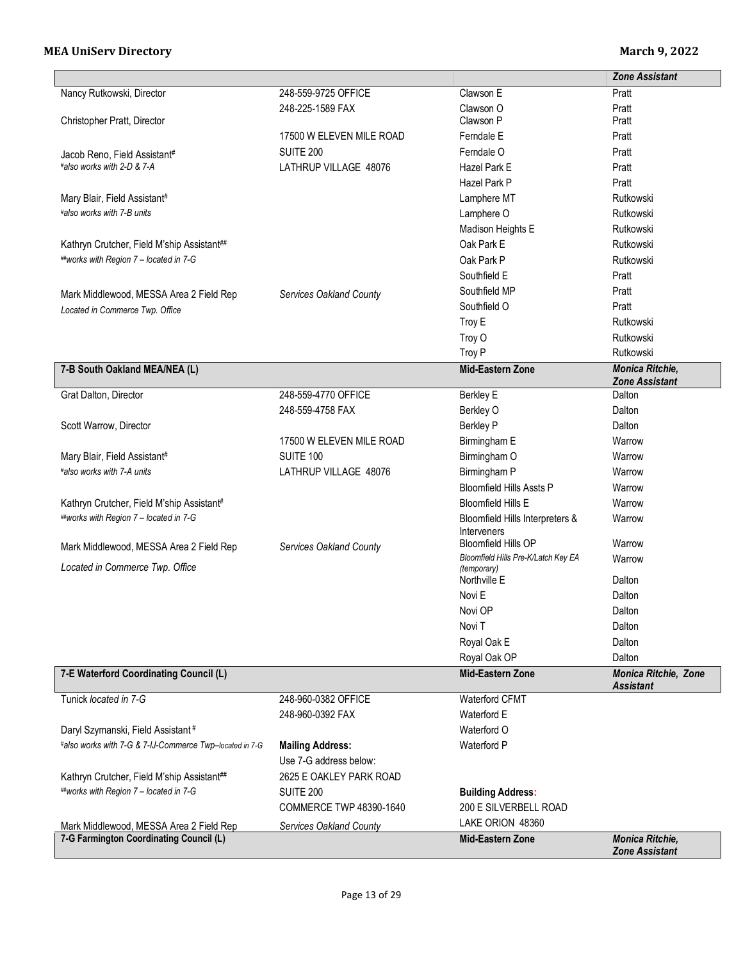|                                                         |                          |                                                    | <b>Zone Assistant</b>       |
|---------------------------------------------------------|--------------------------|----------------------------------------------------|-----------------------------|
| Nancy Rutkowski, Director                               | 248-559-9725 OFFICE      | Clawson E                                          | Pratt                       |
|                                                         | 248-225-1589 FAX         | Clawson O                                          | Pratt                       |
| Christopher Pratt, Director                             |                          | Clawson P                                          | Pratt                       |
|                                                         | 17500 W ELEVEN MILE ROAD | Ferndale E                                         | Pratt                       |
| Jacob Reno, Field Assistant#                            | SUITE 200                | Ferndale O                                         | Pratt                       |
| #also works with 2-D & 7-A                              | LATHRUP VILLAGE 48076    | Hazel Park E                                       | Pratt                       |
|                                                         |                          | Hazel Park P                                       | Pratt                       |
| Mary Blair, Field Assistant#                            |                          | Lamphere MT                                        | Rutkowski                   |
| #also works with 7-B units                              |                          | Lamphere O                                         | Rutkowski                   |
|                                                         |                          | Madison Heights E                                  | Rutkowski                   |
| Kathryn Crutcher, Field M'ship Assistant##              |                          | Oak Park E                                         | Rutkowski                   |
| ##works with Region 7 - located in 7-G                  |                          | Oak Park P                                         | Rutkowski                   |
|                                                         |                          | Southfield E                                       | Pratt                       |
| Mark Middlewood, MESSA Area 2 Field Rep                 | Services Oakland County  | Southfield MP                                      | Pratt                       |
| Located in Commerce Twp. Office                         |                          | Southfield O                                       | Pratt                       |
|                                                         |                          | Troy E                                             | Rutkowski                   |
|                                                         |                          | Troy O                                             | Rutkowski                   |
|                                                         |                          | Troy P                                             | Rutkowski                   |
| 7-B South Oakland MEA/NEA (L)                           |                          | <b>Mid-Eastern Zone</b>                            | Monica Ritchie,             |
|                                                         |                          |                                                    | <b>Zone Assistant</b>       |
| Grat Dalton, Director                                   | 248-559-4770 OFFICE      | Berkley E                                          | Dalton                      |
|                                                         | 248-559-4758 FAX         | Berkley O                                          | Dalton                      |
| Scott Warrow, Director                                  |                          | <b>Berkley P</b>                                   | Dalton                      |
|                                                         | 17500 W ELEVEN MILE ROAD | Birmingham E                                       | Warrow                      |
| Mary Blair, Field Assistant#                            | SUITE 100                | Birmingham O                                       | Warrow                      |
| #also works with 7-A units                              | LATHRUP VILLAGE 48076    | Birmingham P                                       | Warrow                      |
|                                                         |                          | <b>Bloomfield Hills Assts P</b>                    | Warrow                      |
| Kathryn Crutcher, Field M'ship Assistant#               |                          | <b>Bloomfield Hills E</b>                          | Warrow                      |
| ##works with Region 7 - located in 7-G                  |                          | Bloomfield Hills Interpreters &                    | Warrow                      |
|                                                         |                          | Interveners                                        |                             |
| Mark Middlewood, MESSA Area 2 Field Rep                 | Services Oakland County  | <b>Bloomfield Hills OP</b>                         | Warrow                      |
| Located in Commerce Twp. Office                         |                          | Bloomfield Hills Pre-K/Latch Key EA<br>(temporary) | Warrow                      |
|                                                         |                          | Northville E                                       | Dalton                      |
|                                                         |                          | Novi E                                             | Dalton                      |
|                                                         |                          | Novi OP                                            | Dalton                      |
|                                                         |                          | Novi T                                             | Dalton                      |
|                                                         |                          | Royal Oak E                                        | Dalton                      |
|                                                         |                          | Royal Oak OP                                       | Dalton                      |
| 7-E Waterford Coordinating Council (L)                  |                          | <b>Mid-Eastern Zone</b>                            | <b>Monica Ritchie, Zone</b> |
|                                                         |                          |                                                    | <b>Assistant</b>            |
| Tunick located in 7-G                                   | 248-960-0382 OFFICE      | Waterford CFMT                                     |                             |
|                                                         | 248-960-0392 FAX         | Waterford E                                        |                             |
| Daryl Szymanski, Field Assistant#                       |                          | Waterford O                                        |                             |
| #also works with 7-G & 7-IJ-Commerce Twp-located in 7-G | <b>Mailing Address:</b>  | Waterford P                                        |                             |
|                                                         | Use 7-G address below:   |                                                    |                             |
| Kathryn Crutcher, Field M'ship Assistant##              | 2625 E OAKLEY PARK ROAD  |                                                    |                             |
| ##works with Region 7 - located in 7-G                  | <b>SUITE 200</b>         | <b>Building Address:</b>                           |                             |
|                                                         | COMMERCE TWP 48390-1640  | 200 E SILVERBELL ROAD                              |                             |
| Mark Middlewood, MESSA Area 2 Field Rep                 | Services Oakland County  | LAKE ORION 48360                                   |                             |
| 7-G Farmington Coordinating Council (L)                 |                          | Mid-Eastern Zone                                   | <b>Monica Ritchie,</b>      |
|                                                         |                          |                                                    | <b>Zone Assistant</b>       |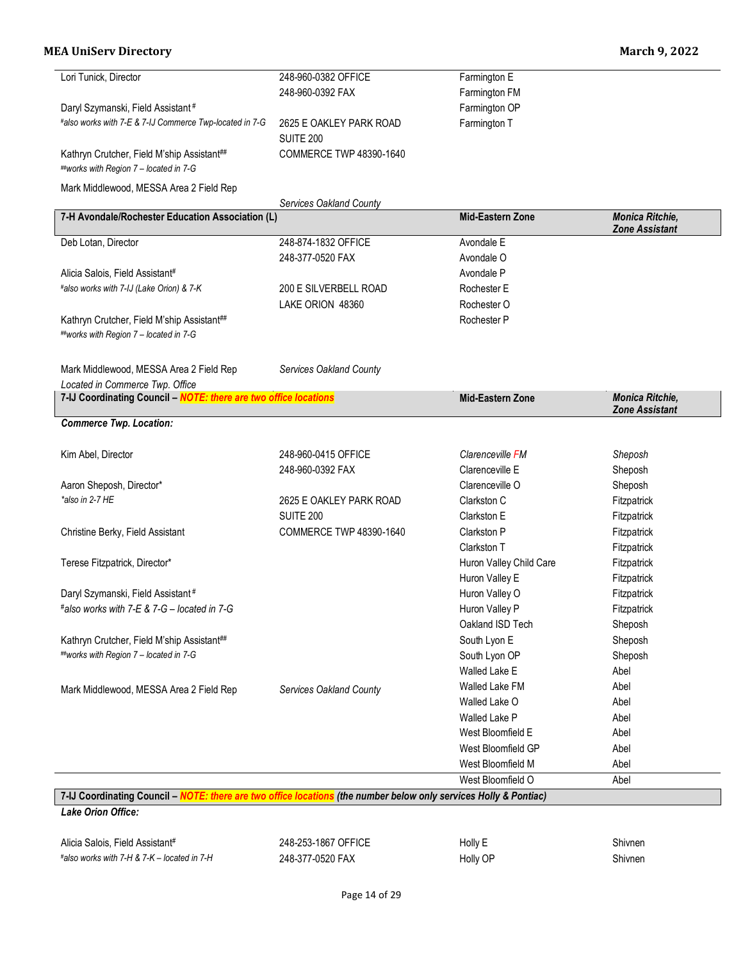| Lori Tunick, Director                                                                                             | 248-960-0382 OFFICE     | Farmington E            |                        |
|-------------------------------------------------------------------------------------------------------------------|-------------------------|-------------------------|------------------------|
|                                                                                                                   | 248-960-0392 FAX        | Farmington FM           |                        |
| Daryl Szymanski, Field Assistant <sup>#</sup>                                                                     |                         | Farmington OP           |                        |
| #also works with 7-E & 7-IJ Commerce Twp-located in 7-G                                                           | 2625 E OAKLEY PARK ROAD | Farmington T            |                        |
|                                                                                                                   | <b>SUITE 200</b>        |                         |                        |
| Kathryn Crutcher, Field M'ship Assistant##                                                                        | COMMERCE TWP 48390-1640 |                         |                        |
| ##works with Region 7 - located in 7-G                                                                            |                         |                         |                        |
| Mark Middlewood, MESSA Area 2 Field Rep                                                                           |                         |                         |                        |
|                                                                                                                   | Services Oakland County |                         |                        |
| 7-H Avondale/Rochester Education Association (L)                                                                  |                         | <b>Mid-Eastern Zone</b> | <b>Monica Ritchie,</b> |
|                                                                                                                   |                         |                         | <b>Zone Assistant</b>  |
| Deb Lotan, Director                                                                                               | 248-874-1832 OFFICE     | Avondale E              |                        |
|                                                                                                                   | 248-377-0520 FAX        | Avondale O              |                        |
| Alicia Salois, Field Assistant#                                                                                   |                         | Avondale P              |                        |
| #also works with 7-IJ (Lake Orion) & 7-K                                                                          | 200 E SILVERBELL ROAD   | Rochester E             |                        |
|                                                                                                                   | LAKE ORION 48360        | Rochester O             |                        |
| Kathryn Crutcher, Field M'ship Assistant##                                                                        |                         | Rochester P             |                        |
| ##works with Region 7 - located in 7-G                                                                            |                         |                         |                        |
|                                                                                                                   |                         |                         |                        |
| Mark Middlewood, MESSA Area 2 Field Rep                                                                           | Services Oakland County |                         |                        |
| Located in Commerce Twp. Office                                                                                   |                         |                         |                        |
| 7-IJ Coordinating Council - NOTE: there are two office locations                                                  |                         | Mid-Eastern Zone        | <b>Monica Ritchie,</b> |
| <b>Commerce Twp. Location:</b>                                                                                    |                         |                         | <b>Zone Assistant</b>  |
|                                                                                                                   |                         |                         |                        |
| Kim Abel, Director                                                                                                | 248-960-0415 OFFICE     | Clarenceville FM        | Sheposh                |
|                                                                                                                   | 248-960-0392 FAX        | Clarenceville E         | Sheposh                |
| Aaron Sheposh, Director*                                                                                          |                         | Clarenceville O         | Sheposh                |
| *also in 2-7 HE                                                                                                   | 2625 E OAKLEY PARK ROAD | Clarkston C             | Fitzpatrick            |
|                                                                                                                   | <b>SUITE 200</b>        | Clarkston E             | Fitzpatrick            |
| Christine Berky, Field Assistant                                                                                  | COMMERCE TWP 48390-1640 | Clarkston P             | Fitzpatrick            |
|                                                                                                                   |                         | Clarkston T             | Fitzpatrick            |
| Terese Fitzpatrick, Director*                                                                                     |                         | Huron Valley Child Care | Fitzpatrick            |
|                                                                                                                   |                         | Huron Valley E          | Fitzpatrick            |
| Daryl Szymanski, Field Assistant#                                                                                 |                         | Huron Valley O          | Fitzpatrick            |
| #also works with 7-E & 7-G - located in 7-G                                                                       |                         | Huron Valley P          | Fitzpatrick            |
|                                                                                                                   |                         | Oakland ISD Tech        | Sheposh                |
| Kathryn Crutcher, Field M'ship Assistant##                                                                        |                         | South Lyon E            | Sheposh                |
| ##works with Region 7 - located in 7-G                                                                            |                         | South Lyon OP           | Sheposh                |
|                                                                                                                   |                         | Walled Lake E           | Abel                   |
| Mark Middlewood, MESSA Area 2 Field Rep                                                                           | Services Oakland County | Walled Lake FM          | Abel                   |
|                                                                                                                   |                         | Walled Lake O           | Abel                   |
|                                                                                                                   |                         | Walled Lake P           | Abel                   |
|                                                                                                                   |                         | West Bloomfield E       | Abel                   |
|                                                                                                                   |                         | West Bloomfield GP      | Abel                   |
|                                                                                                                   |                         | West Bloomfield M       | Abel                   |
|                                                                                                                   |                         | West Bloomfield O       | Abel                   |
| 7-IJ Coordinating Council - NOTE: there are two office locations (the number below only services Holly & Pontiac) |                         |                         |                        |
|                                                                                                                   |                         |                         |                        |

*Lake Orion Office:*

Alicia Salois, Field Assistant# 248-253-1867 OFFICE Holly E Shivnen *#also works with 7-H & 7-K – located in 7-H* 248-377-0520 FAX Holly OP Shivnen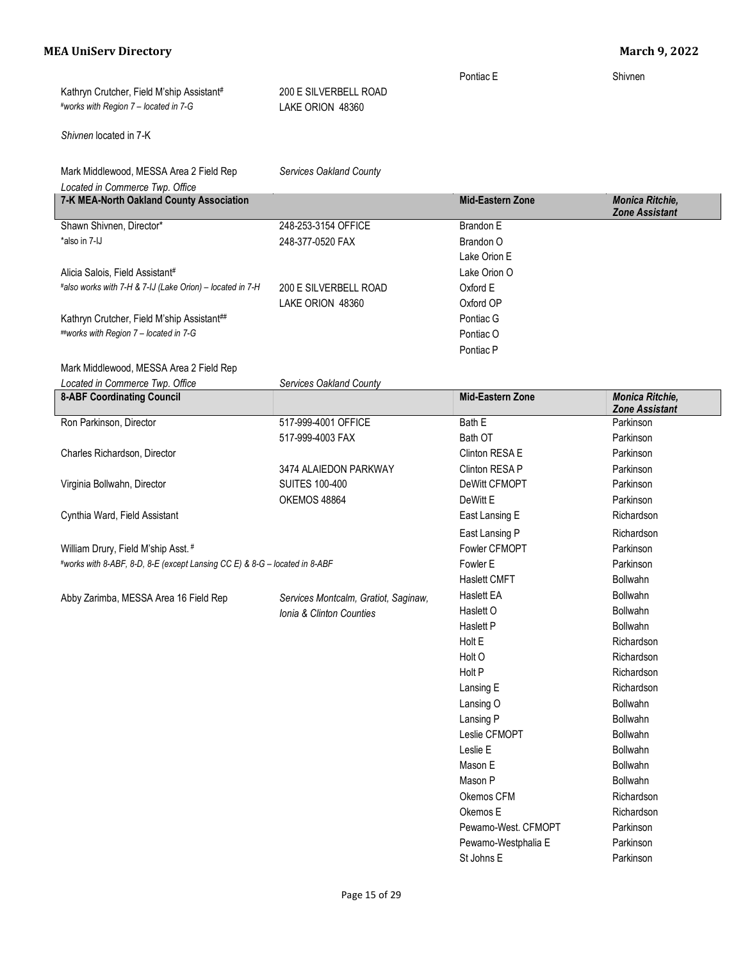Pontiac E Shivnen Kathryn Crutcher, Field M'ship Assistant# 200 E SILVERBELL ROAD *#works with Region 7 – located in 7-G* LAKE ORION 48360

*Shivnen* located in 7-K

| Mark Middlewood, MESSA Area 2 Field Rep                                    | Services Oakland County              |                     |                                          |
|----------------------------------------------------------------------------|--------------------------------------|---------------------|------------------------------------------|
| Located in Commerce Twp. Office                                            |                                      |                     |                                          |
| 7-K MEA-North Oakland County Association                                   |                                      | Mid-Eastern Zone    | Monica Ritchie,<br><b>Zone Assistant</b> |
| Shawn Shivnen, Director*                                                   | 248-253-3154 OFFICE                  | Brandon E           |                                          |
| *also in 7-IJ                                                              | 248-377-0520 FAX                     | Brandon O           |                                          |
|                                                                            |                                      | Lake Orion E        |                                          |
| Alicia Salois, Field Assistant#                                            |                                      | Lake Orion O        |                                          |
| #also works with 7-H & 7-IJ (Lake Orion) - located in 7-H                  | 200 E SILVERBELL ROAD                | Oxford E            |                                          |
|                                                                            | LAKE ORION 48360                     | Oxford OP           |                                          |
| Kathryn Crutcher, Field M'ship Assistant##                                 |                                      | Pontiac G           |                                          |
| ##works with Region 7 - located in 7-G                                     |                                      | Pontiac O           |                                          |
|                                                                            |                                      | Pontiac P           |                                          |
| Mark Middlewood, MESSA Area 2 Field Rep                                    |                                      |                     |                                          |
| Located in Commerce Twp. Office                                            | Services Oakland County              |                     |                                          |
| <b>8-ABF Coordinating Council</b>                                          |                                      | Mid-Eastern Zone    | Monica Ritchie,<br><b>Zone Assistant</b> |
| Ron Parkinson, Director                                                    | 517-999-4001 OFFICE                  | Bath E              | Parkinson                                |
|                                                                            | 517-999-4003 FAX                     | Bath OT             | Parkinson                                |
| Charles Richardson, Director                                               |                                      | Clinton RESA E      | Parkinson                                |
|                                                                            | 3474 ALAIEDON PARKWAY                | Clinton RESA P      | Parkinson                                |
| Virginia Bollwahn, Director                                                | <b>SUITES 100-400</b>                | DeWitt CFMOPT       | Parkinson                                |
|                                                                            | OKEMOS 48864                         | DeWitt E            | Parkinson                                |
| Cynthia Ward, Field Assistant                                              |                                      | East Lansing E      | Richardson                               |
|                                                                            |                                      | East Lansing P      | Richardson                               |
| William Drury, Field M'ship Asst. #                                        |                                      | Fowler CFMOPT       | Parkinson                                |
| #works with 8-ABF, 8-D, 8-E (except Lansing CC E) & 8-G - located in 8-ABF |                                      | Fowler E            | Parkinson                                |
|                                                                            |                                      | <b>Haslett CMFT</b> | <b>Bollwahn</b>                          |
| Abby Zarimba, MESSA Area 16 Field Rep                                      | Services Montcalm, Gratiot, Saginaw, | <b>Haslett EA</b>   | <b>Bollwahn</b>                          |
|                                                                            | Ionia & Clinton Counties             | Haslett O           | <b>Bollwahn</b>                          |
|                                                                            |                                      | Haslett P           | <b>Bollwahn</b>                          |
|                                                                            |                                      | Holt E              | Richardson                               |
|                                                                            |                                      | Holt O              | Richardson                               |
|                                                                            |                                      | Holt P              | Richardson                               |
|                                                                            |                                      | Lansing E           | Richardson                               |
|                                                                            |                                      | Lansing O           | Bollwahn                                 |
|                                                                            |                                      | Lansing P           | Bollwahn                                 |
|                                                                            |                                      | Leslie CFMOPT       | Bollwahn                                 |
|                                                                            |                                      | Leslie E            | Bollwahn                                 |
|                                                                            |                                      | Mason E             | Bollwahn                                 |
|                                                                            |                                      | Mason P             | Bollwahn                                 |
|                                                                            |                                      | Okemos CFM          | Richardson                               |
|                                                                            |                                      | Okemos E            | Richardson                               |
|                                                                            |                                      | Pewamo-West. CFMOPT | Parkinson                                |
|                                                                            |                                      | Pewamo-Westphalia E | Parkinson                                |
|                                                                            |                                      | St Johns E          | Parkinson                                |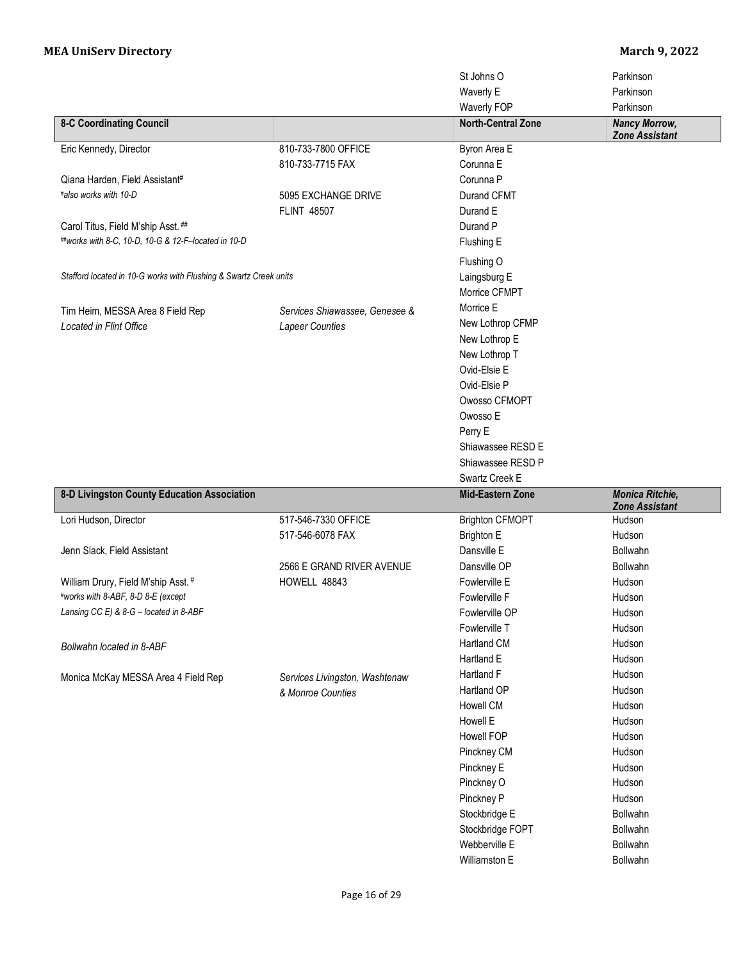|                                                                   |                                | St Johns O<br>Waverly E                | Parkinson<br>Parkinson                          |
|-------------------------------------------------------------------|--------------------------------|----------------------------------------|-------------------------------------------------|
|                                                                   |                                | Waverly FOP                            | Parkinson                                       |
| <b>8-C Coordinating Council</b>                                   |                                | <b>North-Central Zone</b>              | <b>Nancy Morrow,</b><br><b>Zone Assistant</b>   |
| Eric Kennedy, Director                                            | 810-733-7800 OFFICE            | Byron Area E                           |                                                 |
|                                                                   | 810-733-7715 FAX               | Corunna E                              |                                                 |
| Qiana Harden, Field Assistant#                                    |                                | Corunna <sub>P</sub>                   |                                                 |
| #also works with 10-D                                             | 5095 EXCHANGE DRIVE            | Durand CFMT                            |                                                 |
|                                                                   | <b>FLINT 48507</b>             | Durand E                               |                                                 |
| Carol Titus, Field M'ship Asst. ##                                |                                | Durand P                               |                                                 |
| ##works with 8-C, 10-D, 10-G & 12-F-located in 10-D               |                                | Flushing E                             |                                                 |
|                                                                   |                                | Flushing O                             |                                                 |
| Stafford located in 10-G works with Flushing & Swartz Creek units |                                | Laingsburg E                           |                                                 |
|                                                                   |                                | Morrice CFMPT                          |                                                 |
| Tim Heim, MESSA Area 8 Field Rep                                  | Services Shiawassee, Genesee & | Morrice E                              |                                                 |
| <b>Located in Flint Office</b>                                    | <b>Lapeer Counties</b>         | New Lothrop CFMP                       |                                                 |
|                                                                   |                                | New Lothrop E                          |                                                 |
|                                                                   |                                | New Lothrop T                          |                                                 |
|                                                                   |                                | Ovid-Elsie E                           |                                                 |
|                                                                   |                                | Ovid-Elsie P                           |                                                 |
|                                                                   |                                | Owosso CFMOPT                          |                                                 |
|                                                                   |                                | Owosso E                               |                                                 |
|                                                                   |                                | Perry E                                |                                                 |
|                                                                   |                                | Shiawassee RESD E<br>Shiawassee RESD P |                                                 |
|                                                                   |                                | Swartz Creek E                         |                                                 |
|                                                                   |                                |                                        |                                                 |
|                                                                   |                                |                                        |                                                 |
| 8-D Livingston County Education Association                       |                                | <b>Mid-Eastern Zone</b>                | <b>Monica Ritchie,</b><br><b>Zone Assistant</b> |
| Lori Hudson, Director                                             | 517-546-7330 OFFICE            | <b>Brighton CFMOPT</b>                 | Hudson                                          |
|                                                                   | 517-546-6078 FAX               | <b>Brighton E</b>                      | Hudson                                          |
| Jenn Slack, Field Assistant                                       |                                | Dansville E                            | Bollwahn                                        |
|                                                                   | 2566 E GRAND RIVER AVENUE      | Dansville OP                           | Bollwahn                                        |
| William Drury, Field M'ship Asst. #                               | HOWELL 48843                   | Fowlerville E                          | Hudson                                          |
| #works with 8-ABF, 8-D 8-E (except                                |                                | Fowlerville F                          | Hudson                                          |
| Lansing CC E) & 8-G - located in 8-ABF                            |                                | Fowlerville OP                         | Hudson                                          |
|                                                                   |                                | Fowlerville T                          | Hudson                                          |
| Bollwahn located in 8-ABF                                         |                                | Hartland CM                            | Hudson                                          |
|                                                                   |                                | Hartland E                             | Hudson                                          |
| Monica McKay MESSA Area 4 Field Rep                               | Services Livingston, Washtenaw | Hartland F                             | Hudson                                          |
|                                                                   | & Monroe Counties              | Hartland OP                            | Hudson                                          |
|                                                                   |                                | Howell CM                              | Hudson                                          |
|                                                                   |                                | Howell E                               | Hudson                                          |
|                                                                   |                                | Howell FOP                             | Hudson                                          |
|                                                                   |                                | Pinckney CM                            | Hudson                                          |
|                                                                   |                                | Pinckney E                             | Hudson                                          |
|                                                                   |                                | Pinckney O                             | Hudson                                          |
|                                                                   |                                | Pinckney P                             | Hudson                                          |
|                                                                   |                                | Stockbridge E                          | Bollwahn                                        |
|                                                                   |                                | Stockbridge FOPT                       | Bollwahn                                        |
|                                                                   |                                | Webberville E<br>Williamston E         | Bollwahn<br>Bollwahn                            |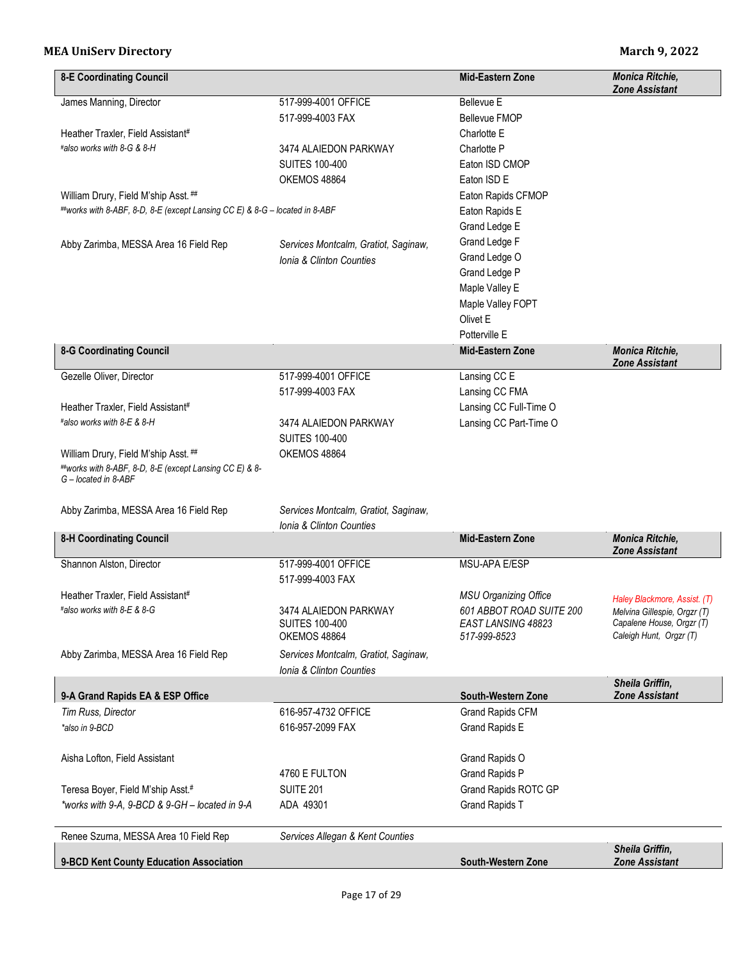| <b>8-E Coordinating Council</b>                                                                                         |                                                                  | <b>Mid-Eastern Zone</b>                                        | <b>Monica Ritchie,</b><br><b>Zone Assistant</b>                                      |
|-------------------------------------------------------------------------------------------------------------------------|------------------------------------------------------------------|----------------------------------------------------------------|--------------------------------------------------------------------------------------|
| James Manning, Director                                                                                                 | 517-999-4001 OFFICE                                              | Bellevue E                                                     |                                                                                      |
|                                                                                                                         | 517-999-4003 FAX                                                 | Bellevue FMOP                                                  |                                                                                      |
| Heather Traxler, Field Assistant#                                                                                       |                                                                  | Charlotte E                                                    |                                                                                      |
| #also works with 8-G & 8-H                                                                                              | 3474 ALAIEDON PARKWAY                                            | Charlotte P                                                    |                                                                                      |
|                                                                                                                         | <b>SUITES 100-400</b>                                            | Eaton ISD CMOP                                                 |                                                                                      |
|                                                                                                                         | OKEMOS 48864                                                     | Eaton ISD E                                                    |                                                                                      |
| William Drury, Field M'ship Asst. ##                                                                                    |                                                                  | Eaton Rapids CFMOP                                             |                                                                                      |
| ##works with 8-ABF, 8-D, 8-E (except Lansing CC E) & 8-G - located in 8-ABF                                             |                                                                  | Eaton Rapids E                                                 |                                                                                      |
|                                                                                                                         |                                                                  | Grand Ledge E                                                  |                                                                                      |
| Abby Zarimba, MESSA Area 16 Field Rep                                                                                   | Services Montcalm, Gratiot, Saginaw,                             | Grand Ledge F                                                  |                                                                                      |
|                                                                                                                         | <b>Ionia &amp; Clinton Counties</b>                              | Grand Ledge O                                                  |                                                                                      |
|                                                                                                                         |                                                                  | Grand Ledge P                                                  |                                                                                      |
|                                                                                                                         |                                                                  | Maple Valley E                                                 |                                                                                      |
|                                                                                                                         |                                                                  | Maple Valley FOPT                                              |                                                                                      |
|                                                                                                                         |                                                                  | Olivet E                                                       |                                                                                      |
|                                                                                                                         |                                                                  | Potterville E                                                  |                                                                                      |
| <b>8-G Coordinating Council</b>                                                                                         |                                                                  | <b>Mid-Eastern Zone</b>                                        | Monica Ritchie,                                                                      |
| Gezelle Oliver, Director                                                                                                | 517-999-4001 OFFICE                                              | Lansing CC E                                                   | <b>Zone Assistant</b>                                                                |
|                                                                                                                         |                                                                  | Lansing CC FMA                                                 |                                                                                      |
|                                                                                                                         | 517-999-4003 FAX                                                 |                                                                |                                                                                      |
| Heather Traxler, Field Assistant#<br>#also works with 8-E & 8-H                                                         |                                                                  | Lansing CC Full-Time O                                         |                                                                                      |
|                                                                                                                         | 3474 ALAIEDON PARKWAY                                            | Lansing CC Part-Time O                                         |                                                                                      |
|                                                                                                                         | <b>SUITES 100-400</b>                                            |                                                                |                                                                                      |
| William Drury, Field M'ship Asst. ##<br>##works with 8-ABF, 8-D, 8-E (except Lansing CC E) & 8-<br>G - located in 8-ABF | OKEMOS 48864                                                     |                                                                |                                                                                      |
| Abby Zarimba, MESSA Area 16 Field Rep                                                                                   | Services Montcalm, Gratiot, Saginaw,<br>Ionia & Clinton Counties |                                                                |                                                                                      |
| <b>8-H Coordinating Council</b>                                                                                         |                                                                  | <b>Mid-Eastern Zone</b>                                        | Monica Ritchie,                                                                      |
|                                                                                                                         |                                                                  |                                                                | <b>Zone Assistant</b>                                                                |
| Shannon Alston, Director                                                                                                | 517-999-4001 OFFICE                                              | MSU-APA E/ESP                                                  |                                                                                      |
|                                                                                                                         | 517-999-4003 FAX                                                 |                                                                |                                                                                      |
| Heather Traxler, Field Assistant#                                                                                       |                                                                  | <b>MSU Organizing Office</b>                                   | Haley Blackmore, Assist. (T)                                                         |
| #also works with 8-E & 8-G                                                                                              | 3474 ALAIEDON PARKWAY<br><b>SUITES 100-400</b><br>OKEMOS 48864   | 601 ABBOT ROAD SUITE 200<br>EAST LANSING 48823<br>517-999-8523 | Melvina Gillespie, Orgzr (T)<br>Capalene House, Orgzr (T)<br>Caleigh Hunt, Orgzr (T) |
| Abby Zarimba, MESSA Area 16 Field Rep                                                                                   | Services Montcalm, Gratiot, Saginaw,<br>Ionia & Clinton Counties |                                                                |                                                                                      |
| 9-A Grand Rapids EA & ESP Office                                                                                        |                                                                  | South-Western Zone                                             | Sheila Griffin,<br><b>Zone Assistant</b>                                             |
| Tim Russ, Director                                                                                                      | 616-957-4732 OFFICE                                              | Grand Rapids CFM                                               |                                                                                      |
| *also in 9-BCD                                                                                                          | 616-957-2099 FAX                                                 | Grand Rapids E                                                 |                                                                                      |
| Aisha Lofton, Field Assistant                                                                                           |                                                                  | Grand Rapids O                                                 |                                                                                      |
|                                                                                                                         | 4760 E FULTON                                                    | Grand Rapids P                                                 |                                                                                      |
| Teresa Boyer, Field M'ship Asst.#                                                                                       | <b>SUITE 201</b>                                                 | Grand Rapids ROTC GP                                           |                                                                                      |
| *works with 9-A, 9-BCD & 9-GH - located in 9-A                                                                          | ADA 49301                                                        | <b>Grand Rapids T</b>                                          |                                                                                      |
|                                                                                                                         |                                                                  |                                                                |                                                                                      |
| Renee Szurna, MESSA Area 10 Field Rep                                                                                   | Services Allegan & Kent Counties                                 |                                                                |                                                                                      |
| 9-BCD Kent County Education Association                                                                                 |                                                                  | South-Western Zone                                             | Sheila Griffin,<br><b>Zone Assistant</b>                                             |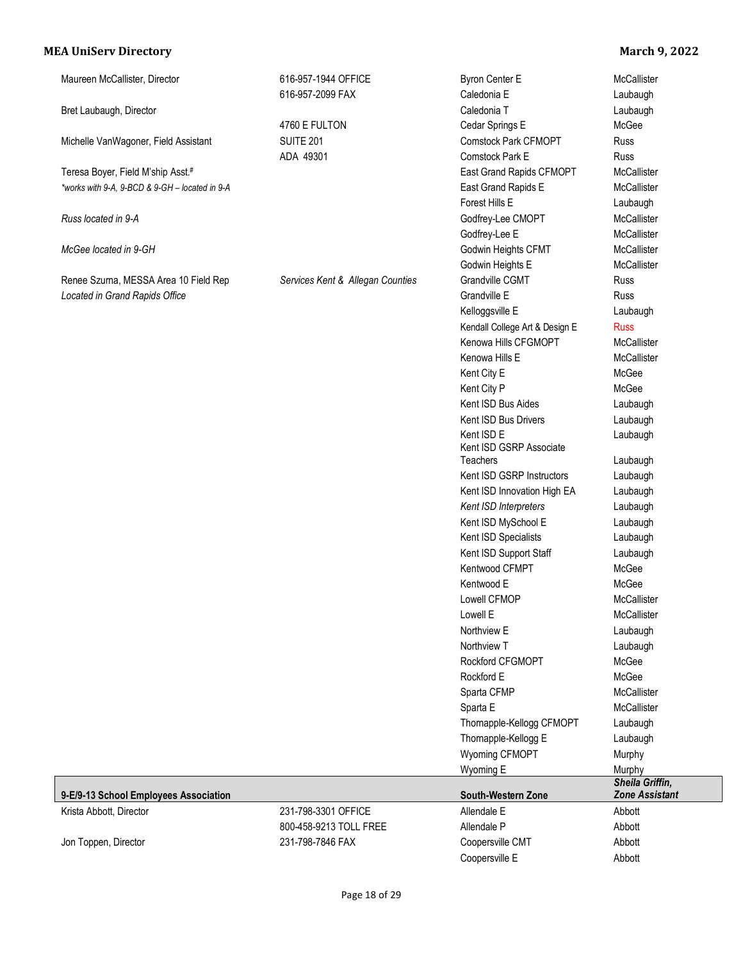| Maureen McCallister, Director                  | 616-957-1944 OFFICE<br>616-957-2099 FAX | Byron Center E<br>Caledonia E         | McCallister<br>Laubaugh                  |
|------------------------------------------------|-----------------------------------------|---------------------------------------|------------------------------------------|
|                                                |                                         | Caledonia T                           |                                          |
| Bret Laubaugh, Director                        | 4760 E FULTON                           | Cedar Springs E                       | Laubaugh<br>McGee                        |
| Michelle VanWagoner, Field Assistant           | <b>SUITE 201</b>                        | <b>Comstock Park CFMOPT</b>           | Russ                                     |
|                                                |                                         | Comstock Park E                       |                                          |
|                                                | ADA 49301                               |                                       | Russ                                     |
| Teresa Boyer, Field M'ship Asst.#              |                                         | East Grand Rapids CFMOPT              | McCallister                              |
| *works with 9-A, 9-BCD & 9-GH - located in 9-A |                                         | East Grand Rapids E                   | McCallister                              |
|                                                |                                         | Forest Hills E                        | Laubaugh<br>McCallister                  |
| Russ located in 9-A                            |                                         | Godfrey-Lee CMOPT                     |                                          |
|                                                |                                         | Godfrey-Lee E                         | McCallister                              |
| McGee located in 9-GH                          |                                         | Godwin Heights CFMT                   | McCallister                              |
|                                                |                                         | Godwin Heights E                      | McCallister                              |
| Renee Szurna, MESSA Area 10 Field Rep          | Services Kent & Allegan Counties        | Grandville CGMT                       | Russ                                     |
| Located in Grand Rapids Office                 |                                         | Grandville E                          | Russ                                     |
|                                                |                                         | Kelloggsville E                       | Laubaugh                                 |
|                                                |                                         | Kendall College Art & Design E        | <b>Russ</b>                              |
|                                                |                                         | Kenowa Hills CFGMOPT                  | McCallister                              |
|                                                |                                         | Kenowa Hills E                        | McCallister                              |
|                                                |                                         | Kent City E                           | McGee                                    |
|                                                |                                         | Kent City P                           | McGee                                    |
|                                                |                                         | Kent ISD Bus Aides                    | Laubaugh                                 |
|                                                |                                         | Kent ISD Bus Drivers                  | Laubaugh                                 |
|                                                |                                         | Kent ISD E<br>Kent ISD GSRP Associate | Laubaugh                                 |
|                                                |                                         | Teachers                              | Laubaugh                                 |
|                                                |                                         | Kent ISD GSRP Instructors             | Laubaugh                                 |
|                                                |                                         | Kent ISD Innovation High EA           | Laubaugh                                 |
|                                                |                                         | Kent ISD Interpreters                 | Laubaugh                                 |
|                                                |                                         | Kent ISD MySchool E                   | Laubaugh                                 |
|                                                |                                         | Kent ISD Specialists                  | Laubaugh                                 |
|                                                |                                         | Kent ISD Support Staff                | Laubaugh                                 |
|                                                |                                         | Kentwood CFMPT                        | McGee                                    |
|                                                |                                         | Kentwood E                            | McGee                                    |
|                                                |                                         | Lowell CFMOP                          | McCallister                              |
|                                                |                                         | Lowell E                              | McCallister                              |
|                                                |                                         | Northview E                           | Laubaugh                                 |
|                                                |                                         | Northview T                           | Laubaugh                                 |
|                                                |                                         | Rockford CFGMOPT                      | McGee                                    |
|                                                |                                         | Rockford E                            | McGee                                    |
|                                                |                                         | Sparta CFMP                           | McCallister                              |
|                                                |                                         | Sparta E                              | McCallister                              |
|                                                |                                         | Thomapple-Kellogg CFMOPT              | Laubaugh                                 |
|                                                |                                         | Thomapple-Kellogg E                   | Laubaugh                                 |
|                                                |                                         | Wyoming CFMOPT                        | Murphy                                   |
|                                                |                                         | Wyoming E                             | Murphy                                   |
| 9-E/9-13 School Employees Association          |                                         | South-Western Zone                    | Sheila Griffin,<br><b>Zone Assistant</b> |
| Krista Abbott, Director                        | 231-798-3301 OFFICE                     | Allendale E                           | Abbott                                   |
|                                                | 800-458-9213 TOLL FREE                  | Allendale P                           | Abbott                                   |
| Jon Toppen, Director                           | 231-798-7846 FAX                        | Coopersville CMT                      | Abbott                                   |
|                                                |                                         | Coopersville E                        | Abbott                                   |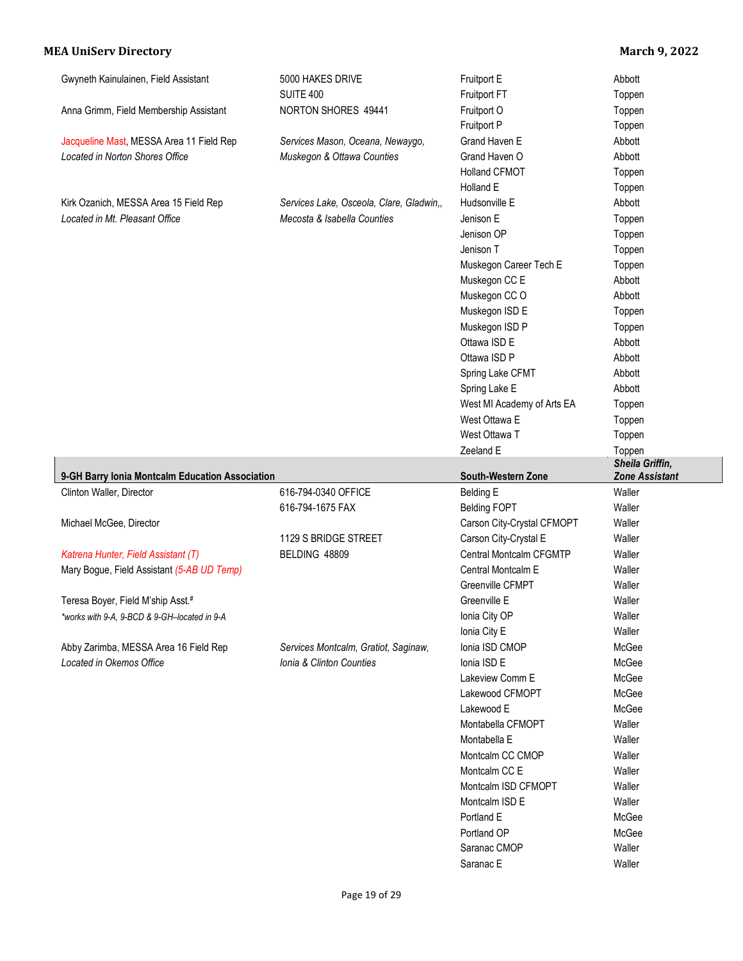| Gwyneth Kainulainen, Field Assistant                              | 5000 HAKES DRIVE                                                 | Fruitport E                                      | Abbott                    |
|-------------------------------------------------------------------|------------------------------------------------------------------|--------------------------------------------------|---------------------------|
|                                                                   | <b>SUITE 400</b>                                                 | Fruitport FT                                     | Toppen                    |
| Anna Grimm, Field Membership Assistant                            | NORTON SHORES 49441                                              | Fruitport O                                      | Toppen                    |
|                                                                   |                                                                  | Fruitport P                                      | Toppen                    |
| Jacqueline Mast, MESSA Area 11 Field Rep                          | Services Mason, Oceana, Newaygo,                                 | Grand Haven E                                    | Abbott                    |
| Located in Norton Shores Office                                   | Muskegon & Ottawa Counties                                       | Grand Haven O                                    | Abbott                    |
|                                                                   |                                                                  | <b>Holland CFMOT</b>                             | Toppen                    |
|                                                                   |                                                                  | Holland E                                        | Toppen                    |
| Kirk Ozanich, MESSA Area 15 Field Rep                             | Services Lake, Osceola, Clare, Gladwin,,                         | Hudsonville E                                    | Abbott                    |
| Located in Mt. Pleasant Office                                    | Mecosta & Isabella Counties                                      | Jenison E                                        | Toppen                    |
|                                                                   |                                                                  | Jenison OP                                       | Toppen                    |
|                                                                   |                                                                  | Jenison T                                        | Toppen                    |
|                                                                   |                                                                  | Muskegon Career Tech E                           | Toppen                    |
|                                                                   |                                                                  | Muskegon CC E                                    | Abbott                    |
|                                                                   |                                                                  | Muskegon CC O                                    | Abbott                    |
|                                                                   |                                                                  | Muskegon ISD E                                   | Toppen                    |
|                                                                   |                                                                  | Muskegon ISD P                                   | Toppen                    |
|                                                                   |                                                                  | Ottawa ISD E                                     | Abbott                    |
|                                                                   |                                                                  | Ottawa ISD P                                     | Abbott                    |
|                                                                   |                                                                  | Spring Lake CFMT                                 | Abbott                    |
|                                                                   |                                                                  | Spring Lake E                                    | Abbott                    |
|                                                                   |                                                                  | West MI Academy of Arts EA                       | Toppen                    |
|                                                                   |                                                                  | West Ottawa E                                    |                           |
|                                                                   |                                                                  | West Ottawa T                                    | Toppen<br>Toppen          |
|                                                                   |                                                                  | Zeeland E                                        |                           |
|                                                                   |                                                                  |                                                  | Toppen<br>Sheila Griffin, |
|                                                                   |                                                                  |                                                  |                           |
| 9-GH Barry Ionia Montcalm Education Association                   |                                                                  | South-Western Zone                               | <b>Zone Assistant</b>     |
| Clinton Waller, Director                                          | 616-794-0340 OFFICE                                              | <b>Belding E</b>                                 | Waller                    |
|                                                                   | 616-794-1675 FAX                                                 |                                                  | Waller                    |
| Michael McGee, Director                                           |                                                                  | <b>Belding FOPT</b>                              | Waller                    |
|                                                                   | 1129 S BRIDGE STREET                                             | Carson City-Crystal CFMOPT                       | Waller                    |
|                                                                   | BELDING 48809                                                    | Carson City-Crystal E<br>Central Montcalm CFGMTP | Waller                    |
| Katrena Hunter, Field Assistant (T)                               |                                                                  |                                                  |                           |
| Mary Bogue, Field Assistant (5-AB UD Temp)                        |                                                                  | Central Montcalm E                               | Waller                    |
|                                                                   |                                                                  | Greenville CFMPT                                 | Waller                    |
| Teresa Boyer, Field M'ship Asst.#                                 |                                                                  | Greenville E                                     | Waller                    |
| works with 9-A, 9-BCD & 9-GH-located in 9-A                       |                                                                  | Ionia City OP                                    | Waller                    |
|                                                                   |                                                                  | Ionia City E                                     | Waller                    |
| Abby Zarimba, MESSA Area 16 Field Rep<br>Located in Okemos Office | Services Montcalm, Gratiot, Saginaw,<br>Ionia & Clinton Counties | Ionia ISD CMOP                                   | McGee                     |
|                                                                   |                                                                  | Ionia ISD E                                      | McGee                     |
|                                                                   |                                                                  | Lakeview Comm E                                  | McGee                     |
|                                                                   |                                                                  | Lakewood CFMOPT                                  | McGee                     |
|                                                                   |                                                                  | Lakewood E                                       | McGee                     |
|                                                                   |                                                                  | Montabella CFMOPT                                | Waller                    |
|                                                                   |                                                                  | Montabella E                                     | Waller                    |
|                                                                   |                                                                  | Montcalm CC CMOP                                 | Waller                    |
|                                                                   |                                                                  | Montcalm CC E                                    | Waller                    |
|                                                                   |                                                                  | Montcalm ISD CFMOPT                              | Waller                    |
|                                                                   |                                                                  | Montcalm ISD E                                   | Waller                    |
|                                                                   |                                                                  | Portland E                                       | McGee                     |
|                                                                   |                                                                  | Portland OP                                      | McGee                     |
|                                                                   |                                                                  | Saranac CMOP<br>Saranac E                        | Waller<br>Waller          |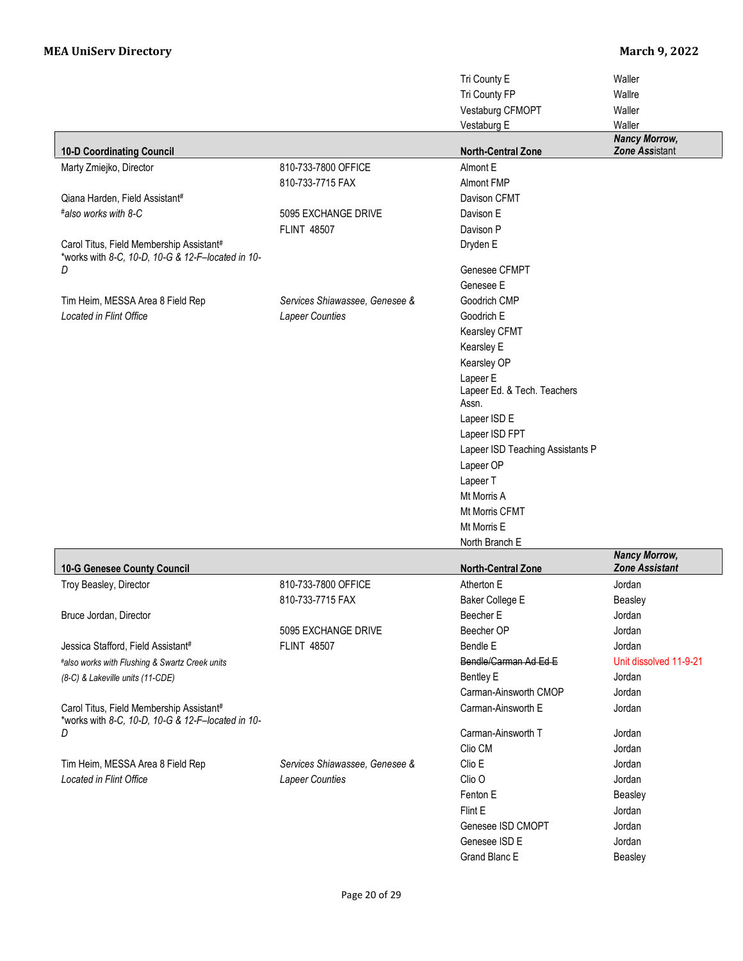|                                                   |                                | Tri County E                     | Waller                                        |
|---------------------------------------------------|--------------------------------|----------------------------------|-----------------------------------------------|
|                                                   |                                | Tri County FP                    | Wallre                                        |
|                                                   |                                | Vestaburg CFMOPT                 | Waller                                        |
|                                                   |                                | Vestaburg E                      | Waller                                        |
|                                                   |                                |                                  | <b>Nancy Morrow,</b>                          |
| <b>10-D Coordinating Council</b>                  |                                | <b>North-Central Zone</b>        | Zone Assistant                                |
| Marty Zmiejko, Director                           | 810-733-7800 OFFICE            | Almont E                         |                                               |
|                                                   | 810-733-7715 FAX               | <b>Almont FMP</b>                |                                               |
| Qiana Harden, Field Assistant#                    |                                | Davison CFMT                     |                                               |
| #also works with 8-C                              | 5095 EXCHANGE DRIVE            | Davison E                        |                                               |
|                                                   | <b>FLINT 48507</b>             | Davison P                        |                                               |
| Carol Titus, Field Membership Assistant#          |                                | Dryden E                         |                                               |
| *works with 8-C, 10-D, 10-G & 12-F-located in 10- |                                |                                  |                                               |
| D                                                 |                                | Genesee CFMPT                    |                                               |
|                                                   |                                | Genesee E                        |                                               |
| Tim Heim, MESSA Area 8 Field Rep                  | Services Shiawassee, Genesee & | Goodrich CMP                     |                                               |
| Located in Flint Office                           | Lapeer Counties                | Goodrich E                       |                                               |
|                                                   |                                | Kearsley CFMT                    |                                               |
|                                                   |                                | Kearsley E                       |                                               |
|                                                   |                                | Kearsley OP                      |                                               |
|                                                   |                                | Lapeer E                         |                                               |
|                                                   |                                | Lapeer Ed. & Tech. Teachers      |                                               |
|                                                   |                                | Assn.                            |                                               |
|                                                   |                                | Lapeer ISD E                     |                                               |
|                                                   |                                | Lapeer ISD FPT                   |                                               |
|                                                   |                                | Lapeer ISD Teaching Assistants P |                                               |
|                                                   |                                | Lapeer OP                        |                                               |
|                                                   |                                | Lapeer T                         |                                               |
|                                                   |                                | Mt Morris A                      |                                               |
|                                                   |                                | Mt Morris CFMT                   |                                               |
|                                                   |                                | Mt Morris E                      |                                               |
|                                                   |                                | North Branch E                   |                                               |
| 10-G Genesee County Council                       |                                | <b>North-Central Zone</b>        | <b>Nancy Morrow,</b><br><b>Zone Assistant</b> |
| Troy Beasley, Director                            | 810-733-7800 OFFICE            | Atherton E                       | Jordan                                        |
|                                                   | 810-733-7715 FAX               | Baker College E                  | Beasley                                       |
| Bruce Jordan, Director                            |                                | Beecher E                        | Jordan                                        |
|                                                   | 5095 EXCHANGE DRIVE            | Beecher OP                       | Jordan                                        |
| Jessica Stafford, Field Assistant#                | <b>FLINT 48507</b>             | Bendle E                         | Jordan                                        |
| #also works with Flushing & Swartz Creek units    |                                | Bendle/Carman Ad Ed E            | Unit dissolved 11-9-21                        |
| (8-C) & Lakeville units (11-CDE)                  |                                | <b>Bentley E</b>                 | Jordan                                        |
|                                                   |                                | Carman-Ainsworth CMOP            | Jordan                                        |
| Carol Titus, Field Membership Assistant#          |                                | Carman-Ainsworth E               | Jordan                                        |
| *works with 8-C, 10-D, 10-G & 12-F-located in 10- |                                |                                  |                                               |
| D                                                 |                                | Carman-Ainsworth T               | Jordan                                        |
|                                                   |                                | Clio CM                          | Jordan                                        |
| Tim Heim, MESSA Area 8 Field Rep                  | Services Shiawassee, Genesee & | Clio E                           | Jordan                                        |
| Located in Flint Office                           | Lapeer Counties                | Clio <sub>O</sub>                | Jordan                                        |
|                                                   |                                | Fenton E                         | Beasley                                       |
|                                                   |                                | Flint E                          | Jordan                                        |
|                                                   |                                | Genesee ISD CMOPT                | Jordan                                        |
|                                                   |                                | Genesee ISD E                    | Jordan                                        |
|                                                   |                                | Grand Blanc E                    | Beasley                                       |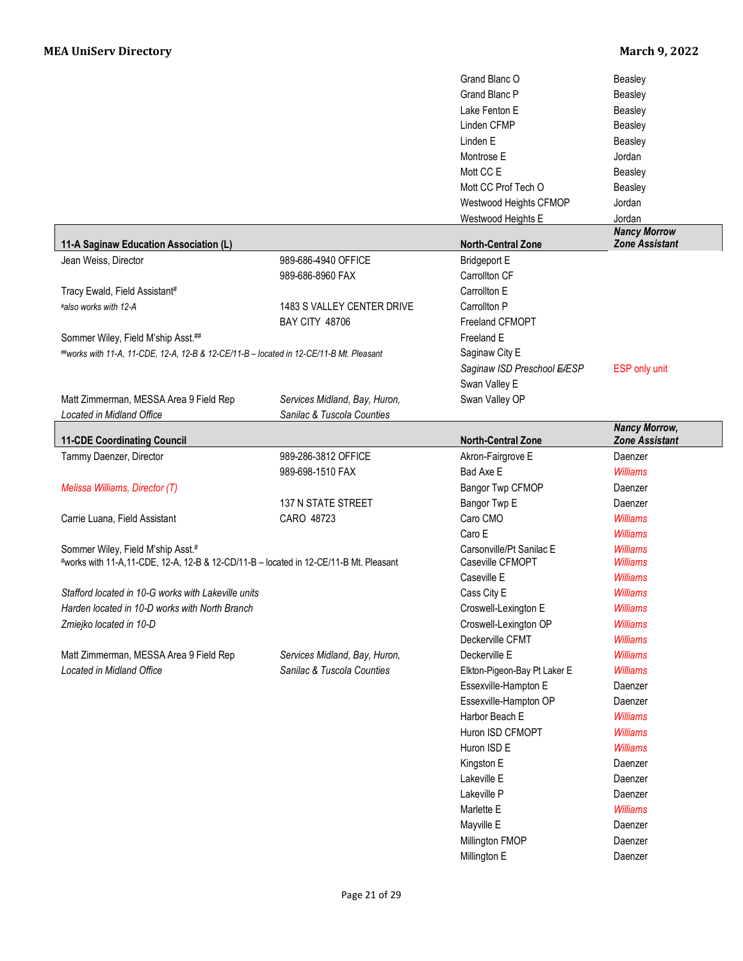|                                                                                         |                               | Grand Blanc O                | Beasley                            |
|-----------------------------------------------------------------------------------------|-------------------------------|------------------------------|------------------------------------|
|                                                                                         |                               | <b>Grand Blanc P</b>         | Beasley                            |
|                                                                                         |                               | Lake Fenton E                | Beasley                            |
|                                                                                         |                               | Linden CFMP                  | Beasley                            |
|                                                                                         |                               | Linden E                     | Beasley                            |
|                                                                                         |                               | Montrose E                   | Jordan                             |
|                                                                                         |                               | Mott CC E                    | Beasley                            |
|                                                                                         |                               | Mott CC Prof Tech O          | <b>Beasley</b>                     |
|                                                                                         |                               | Westwood Heights CFMOP       | Jordan                             |
|                                                                                         |                               | Westwood Heights E           | Jordan                             |
|                                                                                         |                               |                              | <b>Nancy Morrow</b>                |
| 11-A Saginaw Education Association (L)                                                  |                               | <b>North-Central Zone</b>    | <b>Zone Assistant</b>              |
| Jean Weiss, Director                                                                    | 989-686-4940 OFFICE           | <b>Bridgeport E</b>          |                                    |
|                                                                                         | 989-686-8960 FAX              | Carrollton CF                |                                    |
| Tracy Ewald, Field Assistant#                                                           |                               | Carrollton E                 |                                    |
| #also works with 12-A                                                                   | 1483 S VALLEY CENTER DRIVE    | Carrollton P                 |                                    |
|                                                                                         | <b>BAY CITY 48706</b>         | Freeland CFMOPT              |                                    |
| Sommer Wiley, Field M'ship Asst.##                                                      |                               | Freeland E                   |                                    |
| ##works with 11-A, 11-CDE, 12-A, 12-B & 12-CE/11-B - located in 12-CE/11-B Mt. Pleasant |                               | Saginaw City E               |                                    |
|                                                                                         |                               | Saginaw ISD Preschool E/ESP  | ESP only unit                      |
|                                                                                         |                               | Swan Valley E                |                                    |
| Matt Zimmerman, MESSA Area 9 Field Rep                                                  | Services Midland, Bay, Huron, | Swan Valley OP               |                                    |
| Located in Midland Office                                                               | Sanilac & Tuscola Counties    |                              |                                    |
|                                                                                         |                               |                              | <b>Nancy Morrow,</b>               |
| <b>11-CDE Coordinating Council</b>                                                      |                               | <b>North-Central Zone</b>    | <b>Zone Assistant</b>              |
| Tammy Daenzer, Director                                                                 | 989-286-3812 OFFICE           | Akron-Fairgrove E            | Daenzer                            |
|                                                                                         | 989-698-1510 FAX              | Bad Axe E                    | <b>Williams</b>                    |
| Melissa Williams, Director (T)                                                          |                               | Bangor Twp CFMOP             | Daenzer                            |
|                                                                                         | <b>137 N STATE STREET</b>     | Bangor Twp E                 | Daenzer                            |
| Carrie Luana, Field Assistant                                                           | CARO 48723                    | Caro CMO                     | <b>Williams</b>                    |
|                                                                                         |                               | Caro E                       | <b>Williams</b>                    |
| Sommer Wiley, Field M'ship Asst.#                                                       |                               | Carsonville/Pt Sanilac E     | <b>Williams</b><br><b>Williams</b> |
| #works with 11-A,11-CDE, 12-A, 12-B & 12-CD/11-B - located in 12-CE/11-B Mt. Pleasant   |                               | Caseville CFMOPT             |                                    |
|                                                                                         |                               | Caseville E                  | <b>Williams</b>                    |
| Stafford located in 10-G works with Lakeville units                                     |                               | Cass City E                  | <b>Williams</b>                    |
| Harden located in 10-D works with North Branch                                          |                               | Croswell-Lexington E         | <b>Williams</b>                    |
| Zmiejko located in 10-D                                                                 |                               | Croswell-Lexington OP        | <b>Williams</b>                    |
|                                                                                         |                               | Deckerville CFMT             | <b>Williams</b>                    |
| Matt Zimmerman, MESSA Area 9 Field Rep                                                  | Services Midland, Bay, Huron, | Deckerville E                | <b>Williams</b>                    |
| Located in Midland Office                                                               | Sanilac & Tuscola Counties    | Elkton-Pigeon-Bay Pt Laker E | <b>Williams</b>                    |
|                                                                                         |                               | Essexville-Hampton E         | Daenzer                            |
|                                                                                         |                               | Essexville-Hampton OP        | Daenzer                            |
|                                                                                         |                               | Harbor Beach E               | <b>Williams</b>                    |
|                                                                                         |                               | Huron ISD CFMOPT             | <b>Williams</b>                    |
|                                                                                         |                               | Huron ISD E                  | <b>Williams</b>                    |
|                                                                                         |                               | Kingston E                   | Daenzer                            |
|                                                                                         |                               | Lakeville E                  | Daenzer                            |
|                                                                                         |                               | Lakeville P                  | Daenzer                            |
|                                                                                         |                               | Marlette E                   | <b>Williams</b>                    |
|                                                                                         |                               |                              |                                    |
|                                                                                         |                               | Mayville E                   | Daenzer                            |
|                                                                                         |                               | Millington FMOP              | Daenzer                            |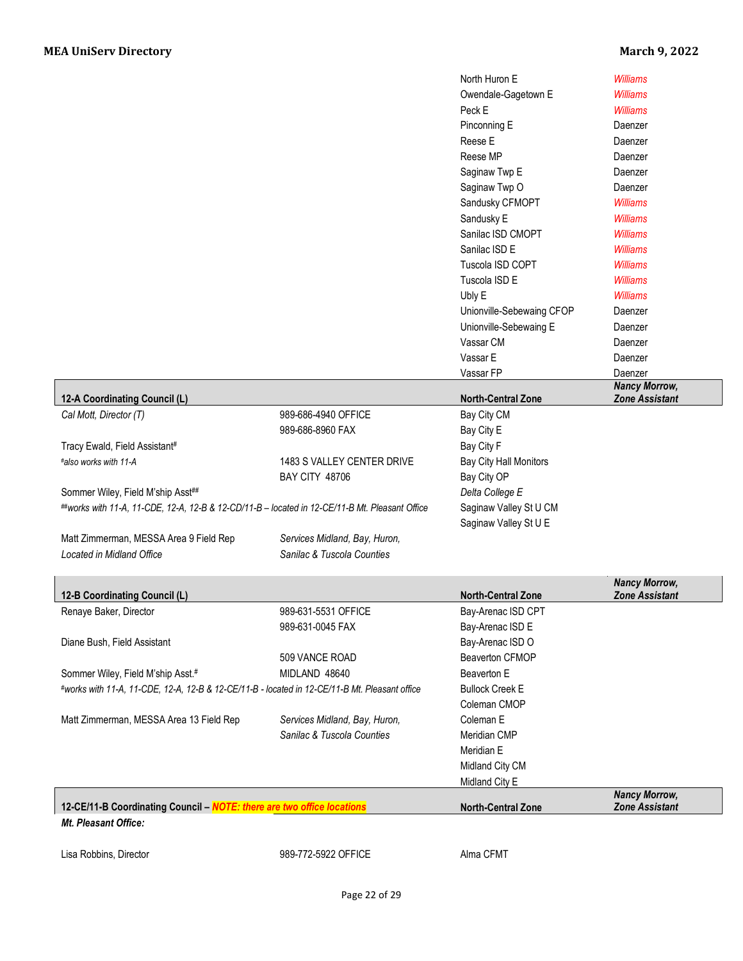|                                                                                                |                               | North Huron E                                   | <b>Williams</b>                               |
|------------------------------------------------------------------------------------------------|-------------------------------|-------------------------------------------------|-----------------------------------------------|
|                                                                                                |                               | Owendale-Gagetown E                             | <b>Williams</b>                               |
|                                                                                                |                               | Peck E                                          | <b>Williams</b>                               |
|                                                                                                |                               | Pinconning E                                    | Daenzer                                       |
|                                                                                                |                               | Reese E                                         | Daenzer                                       |
|                                                                                                |                               | Reese MP                                        | Daenzer                                       |
|                                                                                                |                               | Saginaw Twp E                                   | Daenzer                                       |
|                                                                                                |                               | Saginaw Twp O                                   | Daenzer                                       |
|                                                                                                |                               | Sandusky CFMOPT                                 | <b>Williams</b>                               |
|                                                                                                |                               | Sandusky E                                      | <b>Williams</b>                               |
|                                                                                                |                               | Sanilac ISD CMOPT                               | <b>Williams</b>                               |
|                                                                                                |                               | Sanilac ISD E                                   | <b>Williams</b>                               |
|                                                                                                |                               | Tuscola ISD COPT                                | <b>Williams</b>                               |
|                                                                                                |                               |                                                 |                                               |
|                                                                                                |                               | Tuscola ISD E                                   | <b>Williams</b>                               |
|                                                                                                |                               | Ubly E                                          | <b>Williams</b>                               |
|                                                                                                |                               | Unionville-Sebewaing CFOP                       | Daenzer                                       |
|                                                                                                |                               | Unionville-Sebewaing E                          | Daenzer                                       |
|                                                                                                |                               | Vassar CM                                       | Daenzer                                       |
|                                                                                                |                               | Vassar E                                        | Daenzer                                       |
|                                                                                                |                               | Vassar FP                                       | Daenzer                                       |
| 12-A Coordinating Council (L)                                                                  |                               | <b>North-Central Zone</b>                       | <b>Nancy Morrow,</b><br><b>Zone Assistant</b> |
| Cal Mott, Director (T)                                                                         | 989-686-4940 OFFICE           | Bay City CM                                     |                                               |
|                                                                                                | 989-686-8960 FAX              | Bay City E                                      |                                               |
| Tracy Ewald, Field Assistant#                                                                  |                               | Bay City F                                      |                                               |
| #also works with 11-A                                                                          | 1483 S VALLEY CENTER DRIVE    | Bay City Hall Monitors                          |                                               |
|                                                                                                | <b>BAY CITY 48706</b>         | Bay City OP                                     |                                               |
| Sommer Wiley, Field M'ship Asst##                                                              |                               | Delta College E                                 |                                               |
|                                                                                                |                               |                                                 |                                               |
| ##works with 11-A, 11-CDE, 12-A, 12-B & 12-CD/11-B - located in 12-CE/11-B Mt. Pleasant Office |                               | Saginaw Valley St U CM<br>Saginaw Valley St U E |                                               |
| Matt Zimmerman, MESSA Area 9 Field Rep                                                         | Services Midland, Bay, Huron, |                                                 |                                               |
| <b>Located in Midland Office</b>                                                               | Sanilac & Tuscola Counties    |                                                 |                                               |
|                                                                                                |                               |                                                 | <b>Nancy Morrow,</b>                          |
| 12-B Coordinating Council (L)                                                                  |                               | <b>North-Central Zone</b>                       | <b>Zone Assistant</b>                         |
| Renaye Baker, Director                                                                         | 989-631-5531 OFFICE           | Bay-Arenac ISD CPT                              |                                               |
|                                                                                                | 989-631-0045 FAX              | Bay-Arenac ISD E                                |                                               |
| Diane Bush, Field Assistant                                                                    |                               | Bay-Arenac ISD O                                |                                               |
|                                                                                                | 509 VANCE ROAD                | Beaverton CFMOP                                 |                                               |
| Sommer Wiley, Field M'ship Asst.#                                                              | MIDLAND 48640                 | Beaverton E                                     |                                               |
| #works with 11-A, 11-CDE, 12-A, 12-B & 12-CE/11-B - located in 12-CE/11-B Mt. Pleasant office  |                               | <b>Bullock Creek E</b>                          |                                               |
|                                                                                                |                               | Coleman CMOP                                    |                                               |
| Matt Zimmerman, MESSA Area 13 Field Rep                                                        | Services Midland, Bay, Huron, | Coleman E                                       |                                               |
|                                                                                                | Sanilac & Tuscola Counties    | Meridian CMP                                    |                                               |
|                                                                                                |                               | Meridian E                                      |                                               |
|                                                                                                |                               | Midland City CM                                 |                                               |
|                                                                                                |                               | Midland City E                                  |                                               |
|                                                                                                |                               |                                                 |                                               |
| 12-CE/11-B Coordinating Council - NOTE: there are two office locations                         |                               | <b>North-Central Zone</b>                       | <b>Nancy Morrow,</b><br><b>Zone Assistant</b> |

Lisa Robbins, Director **Canadian CEMT** 989-772-5922 OFFICE Alma CFMT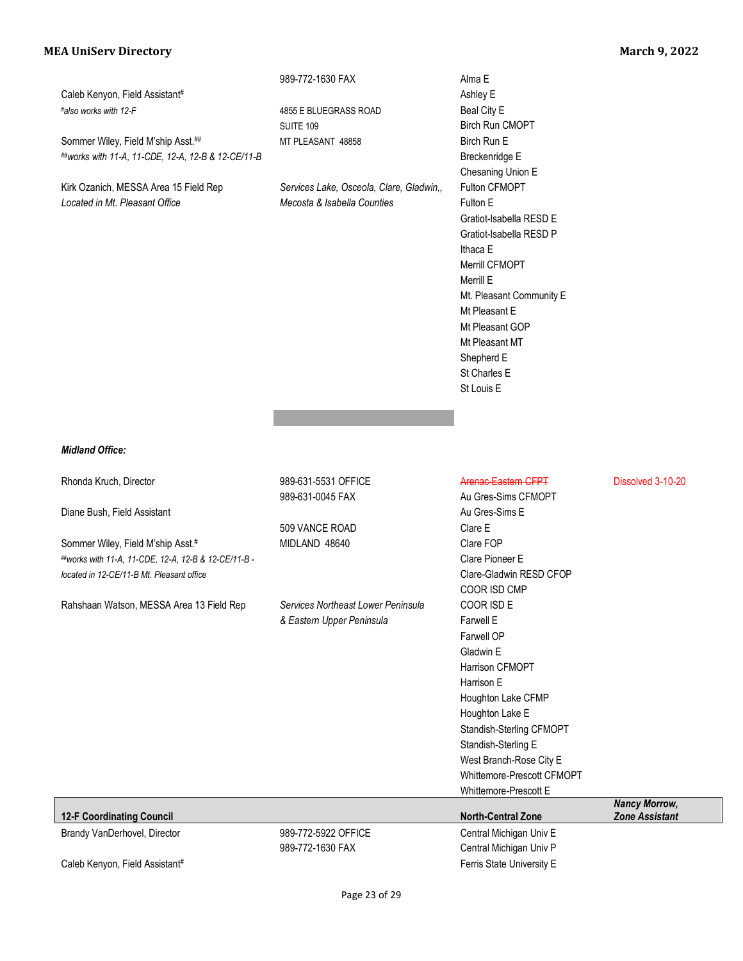|                                                      | 989-772-1630 FAX                         | Alma E                     |                       |
|------------------------------------------------------|------------------------------------------|----------------------------|-----------------------|
| Caleb Kenyon, Field Assistant#                       |                                          | Ashley E                   |                       |
| #also works with 12-F                                | 4855 E BLUEGRASS ROAD                    | Beal City E                |                       |
|                                                      | <b>SUITE 109</b>                         | Birch Run CMOPT            |                       |
| Sommer Wiley, Field M'ship Asst.##                   | MT PLEASANT 48858                        | Birch Run E                |                       |
| ##works with 11-A, 11-CDE, 12-A, 12-B & 12-CE/11-B   |                                          | Breckenridge E             |                       |
|                                                      |                                          | Chesaning Union E          |                       |
| Kirk Ozanich, MESSA Area 15 Field Rep                | Services Lake, Osceola, Clare, Gladwin,, | Fulton CFMOPT              |                       |
| Located in Mt. Pleasant Office                       | Mecosta & Isabella Counties              | Fulton E                   |                       |
|                                                      |                                          | Gratiot-Isabella RESD E    |                       |
|                                                      |                                          | Gratiot-Isabella RESD P    |                       |
|                                                      |                                          | Ithaca E                   |                       |
|                                                      |                                          | Merrill CFMOPT             |                       |
|                                                      |                                          | Merrill E                  |                       |
|                                                      |                                          | Mt. Pleasant Community E   |                       |
|                                                      |                                          | Mt Pleasant E              |                       |
|                                                      |                                          | Mt Pleasant GOP            |                       |
|                                                      |                                          | Mt Pleasant MT             |                       |
|                                                      |                                          | Shepherd E                 |                       |
|                                                      |                                          | St Charles E               |                       |
|                                                      |                                          | St Louis E                 |                       |
|                                                      |                                          |                            |                       |
|                                                      |                                          |                            |                       |
|                                                      |                                          |                            |                       |
| <b>Midland Office:</b>                               |                                          |                            |                       |
|                                                      |                                          |                            |                       |
| Rhonda Kruch, Director                               | 989-631-5531 OFFICE                      | Arenac Eastern CFPT        | Dissolved 3-10-20     |
|                                                      | 989-631-0045 FAX                         | Au Gres-Sims CFMOPT        |                       |
| Diane Bush, Field Assistant                          |                                          | Au Gres-Sims E             |                       |
|                                                      | 509 VANCE ROAD                           | Clare E                    |                       |
| Sommer Wiley, Field M'ship Asst.#                    | MIDLAND 48640                            | Clare FOP                  |                       |
| ##works with 11-A, 11-CDE, 12-A, 12-B & 12-CE/11-B - |                                          | Clare Pioneer E            |                       |
| located in 12-CE/11-B Mt. Pleasant office            |                                          | Clare-Gladwin RESD CFOP    |                       |
|                                                      |                                          | COOR ISD CMP               |                       |
| Rahshaan Watson, MESSA Area 13 Field Rep             | Services Northeast Lower Peninsula       | COOR ISD E                 |                       |
|                                                      | & Eastern Upper Peninsula                | Farwell E                  |                       |
|                                                      |                                          | Farwell OP                 |                       |
|                                                      |                                          | Gladwin E                  |                       |
|                                                      |                                          | Harrison CFMOPT            |                       |
|                                                      |                                          | Harrison E                 |                       |
|                                                      |                                          | Houghton Lake CFMP         |                       |
|                                                      |                                          | Houghton Lake E            |                       |
|                                                      |                                          | Standish-Sterling CFMOPT   |                       |
|                                                      |                                          | Standish-Sterling E        |                       |
|                                                      |                                          | West Branch-Rose City E    |                       |
|                                                      |                                          | Whittemore-Prescott CFMOPT |                       |
|                                                      |                                          | Whittemore-Prescott E      |                       |
|                                                      |                                          |                            | <b>Nancy Morrow,</b>  |
| <b>12-F Coordinating Council</b>                     |                                          | <b>North-Central Zone</b>  | <b>Zone Assistant</b> |
| Brandy VanDerhovel, Director                         | 989-772-5922 OFFICE                      | Central Michigan Univ E    |                       |
|                                                      | 989-772-1630 FAX                         | Central Michigan Univ P    |                       |
| Caleb Kenyon, Field Assistant#                       |                                          | Ferris State University E  |                       |
|                                                      |                                          |                            |                       |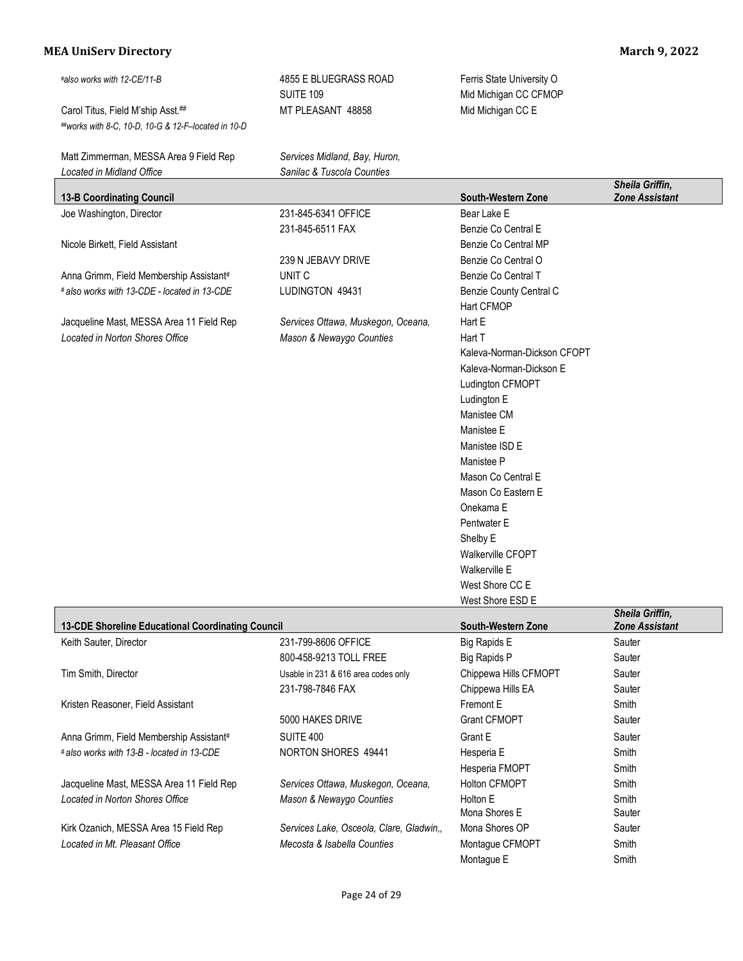| #also works with 12-CE/11-B                         | 4855 E BLUEGRASS ROAD                    | Ferris State University O   |                                          |
|-----------------------------------------------------|------------------------------------------|-----------------------------|------------------------------------------|
|                                                     | <b>SUITE 109</b>                         | Mid Michigan CC CFMOP       |                                          |
| Carol Titus, Field M'ship Asst.##                   | MT PLEASANT 48858                        | Mid Michigan CC E           |                                          |
| ##works with 8-C, 10-D, 10-G & 12-F-located in 10-D |                                          |                             |                                          |
| Matt Zimmerman, MESSA Area 9 Field Rep              | Services Midland, Bay, Huron,            |                             |                                          |
| Located in Midland Office                           | Sanilac & Tuscola Counties               |                             |                                          |
| <b>13-B Coordinating Council</b>                    |                                          | South-Western Zone          | Sheila Griffin,<br><b>Zone Assistant</b> |
| Joe Washington, Director                            | 231-845-6341 OFFICE                      | Bear Lake E                 |                                          |
|                                                     | 231-845-6511 FAX                         | Benzie Co Central E         |                                          |
| Nicole Birkett, Field Assistant                     |                                          | Benzie Co Central MP        |                                          |
|                                                     | 239 N JEBAVY DRIVE                       | Benzie Co Central O         |                                          |
| Anna Grimm, Field Membership Assistant#             | UNIT <sub>C</sub>                        | Benzie Co Central T         |                                          |
| # also works with 13-CDE - located in 13-CDE        | LUDINGTON 49431                          | Benzie County Central C     |                                          |
|                                                     |                                          | Hart CFMOP                  |                                          |
| Jacqueline Mast, MESSA Area 11 Field Rep            | Services Ottawa, Muskegon, Oceana,       | Hart E                      |                                          |
| Located in Norton Shores Office                     | Mason & Newaygo Counties                 | Hart T                      |                                          |
|                                                     |                                          | Kaleva-Norman-Dickson CFOPT |                                          |
|                                                     |                                          | Kaleva-Norman-Dickson E     |                                          |
|                                                     |                                          | Ludington CFMOPT            |                                          |
|                                                     |                                          | Ludington E                 |                                          |
|                                                     |                                          | Manistee CM                 |                                          |
|                                                     |                                          | Manistee E                  |                                          |
|                                                     |                                          | Manistee ISD E              |                                          |
|                                                     |                                          | Manistee P                  |                                          |
|                                                     |                                          | Mason Co Central E          |                                          |
|                                                     |                                          | Mason Co Eastern E          |                                          |
|                                                     |                                          | Onekama E                   |                                          |
|                                                     |                                          | Pentwater E                 |                                          |
|                                                     |                                          | Shelby E                    |                                          |
|                                                     |                                          | Walkerville CFOPT           |                                          |
|                                                     |                                          | Walkerville E               |                                          |
|                                                     |                                          | West Shore CC E             |                                          |
|                                                     |                                          | West Shore ESD E            | <b>Sheila Griffin.</b>                   |
| 13-CDE Shoreline Educational Coordinating Council   |                                          | South-Western Zone          | <b>Zone Assistant</b>                    |
| Keith Sauter, Director                              | 231-799-8606 OFFICE                      | <b>Big Rapids E</b>         | Sauter                                   |
|                                                     | 800-458-9213 TOLL FREE                   | <b>Big Rapids P</b>         | Sauter                                   |
| Tim Smith, Director                                 | Usable in 231 & 616 area codes only      | Chippewa Hills CFMOPT       | Sauter                                   |
|                                                     | 231-798-7846 FAX                         | Chippewa Hills EA           | Sauter                                   |
| Kristen Reasoner, Field Assistant                   |                                          | Fremont E                   | Smith                                    |
|                                                     | 5000 HAKES DRIVE                         | <b>Grant CFMOPT</b>         | Sauter                                   |
| Anna Grimm, Field Membership Assistant#             | <b>SUITE 400</b>                         | Grant E                     | Sauter                                   |
| # also works with 13-B - located in 13-CDE          | NORTON SHORES 49441                      | Hesperia E                  | Smith                                    |
|                                                     |                                          | Hesperia FMOPT              | Smith                                    |
| Jacqueline Mast, MESSA Area 11 Field Rep            | Services Ottawa, Muskegon, Oceana,       | Holton CFMOPT               | Smith                                    |
| Located in Norton Shores Office                     | Mason & Newaygo Counties                 | Holton E                    | Smith                                    |
|                                                     |                                          | Mona Shores E               | Sauter                                   |
| Kirk Ozanich, MESSA Area 15 Field Rep               | Services Lake, Osceola, Clare, Gladwin,, | Mona Shores OP              | Sauter                                   |
| Located in Mt. Pleasant Office                      | Mecosta & Isabella Counties              | Montague CFMOPT             | Smith                                    |
|                                                     |                                          | Montague E                  | Smith                                    |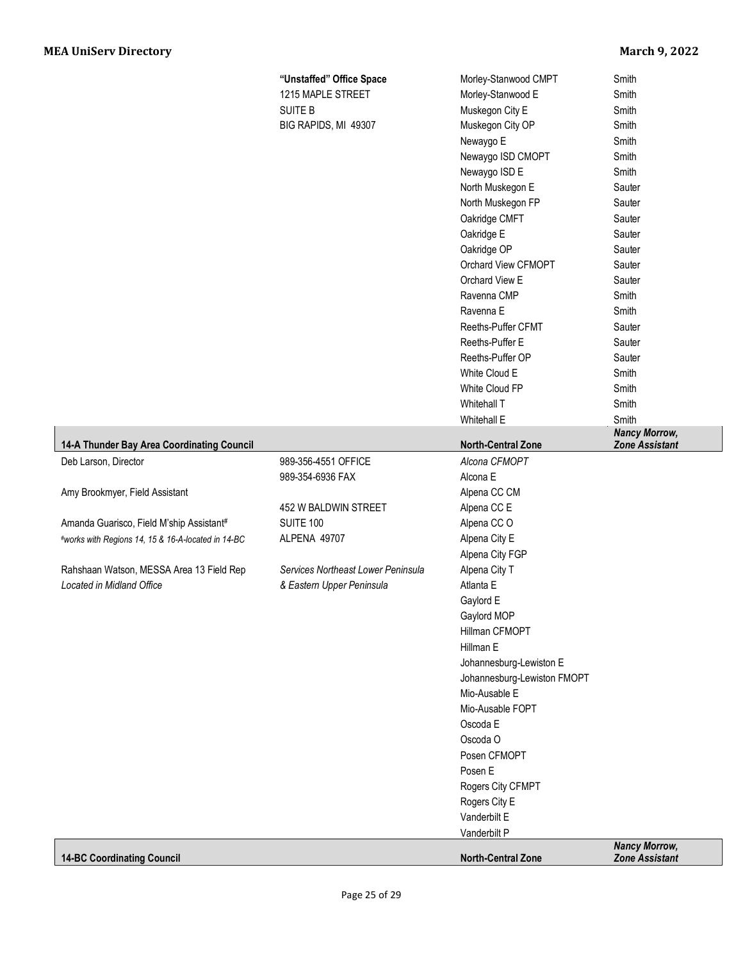|                                                    | "Unstaffed" Office Space           | Morley-Stanwood CMPT        | Smith                 |
|----------------------------------------------------|------------------------------------|-----------------------------|-----------------------|
|                                                    | 1215 MAPLE STREET                  | Morley-Stanwood E           | Smith                 |
|                                                    | <b>SUITE B</b>                     | Muskegon City E             | Smith                 |
|                                                    | BIG RAPIDS, MI 49307               | Muskegon City OP            | Smith                 |
|                                                    |                                    | Newaygo E                   | Smith                 |
|                                                    |                                    | Newaygo ISD CMOPT           | Smith                 |
|                                                    |                                    | Newaygo ISD E               | Smith                 |
|                                                    |                                    | North Muskegon E            | Sauter                |
|                                                    |                                    | North Muskegon FP           | Sauter                |
|                                                    |                                    | Oakridge CMFT               | Sauter                |
|                                                    |                                    | Oakridge E                  | Sauter                |
|                                                    |                                    | Oakridge OP                 | Sauter                |
|                                                    |                                    | Orchard View CFMOPT         | Sauter                |
|                                                    |                                    | Orchard View E              | Sauter                |
|                                                    |                                    | Ravenna CMP                 | Smith                 |
|                                                    |                                    | Ravenna E                   | Smith                 |
|                                                    |                                    | Reeths-Puffer CFMT          | Sauter                |
|                                                    |                                    | Reeths-Puffer E             | Sauter                |
|                                                    |                                    | Reeths-Puffer OP            | Sauter                |
|                                                    |                                    | White Cloud E               | Smith                 |
|                                                    |                                    | White Cloud FP              | Smith                 |
|                                                    |                                    | Whitehall T                 | Smith                 |
|                                                    |                                    | Whitehall E                 | Smith                 |
|                                                    |                                    |                             | <b>Nancy Morrow,</b>  |
| 14-A Thunder Bay Area Coordinating Council         |                                    | <b>North-Central Zone</b>   | <b>Zone Assistant</b> |
| Deb Larson, Director                               | 989-356-4551 OFFICE                | Alcona CFMOPT               |                       |
|                                                    | 989-354-6936 FAX                   | Alcona E                    |                       |
| Amy Brookmyer, Field Assistant                     |                                    | Alpena CC CM                |                       |
|                                                    | 452 W BALDWIN STREET               | Alpena CC E                 |                       |
| Amanda Guarisco, Field M'ship Assistant#           | <b>SUITE 100</b>                   | Alpena CCO                  |                       |
| #works with Regions 14, 15 & 16-A-located in 14-BC | ALPENA 49707                       | Alpena City E               |                       |
|                                                    |                                    | Alpena City FGP             |                       |
| Rahshaan Watson, MESSA Area 13 Field Rep           | Services Northeast Lower Peninsula | Alpena City T               |                       |
| Located in Midland Office                          | & Eastern Upper Peninsula          | Atlanta E                   |                       |
|                                                    |                                    | Gaylord E                   |                       |
|                                                    |                                    | Gaylord MOP                 |                       |
|                                                    |                                    | Hillman CFMOPT              |                       |
|                                                    |                                    | Hillman E                   |                       |
|                                                    |                                    | Johannesburg-Lewiston E     |                       |
|                                                    |                                    | Johannesburg-Lewiston FMOPT |                       |
|                                                    |                                    | Mio-Ausable E               |                       |
|                                                    |                                    | Mio-Ausable FOPT            |                       |
|                                                    |                                    | Oscoda E                    |                       |
|                                                    |                                    | Oscoda O                    |                       |
|                                                    |                                    | Posen CFMOPT                |                       |
|                                                    |                                    | Posen E                     |                       |
|                                                    |                                    | Rogers City CFMPT           |                       |
|                                                    |                                    | Rogers City E               |                       |
|                                                    |                                    | Vanderbilt E                |                       |
|                                                    |                                    | Vanderbilt P                | <b>Nancy Morrow,</b>  |
|                                                    |                                    |                             |                       |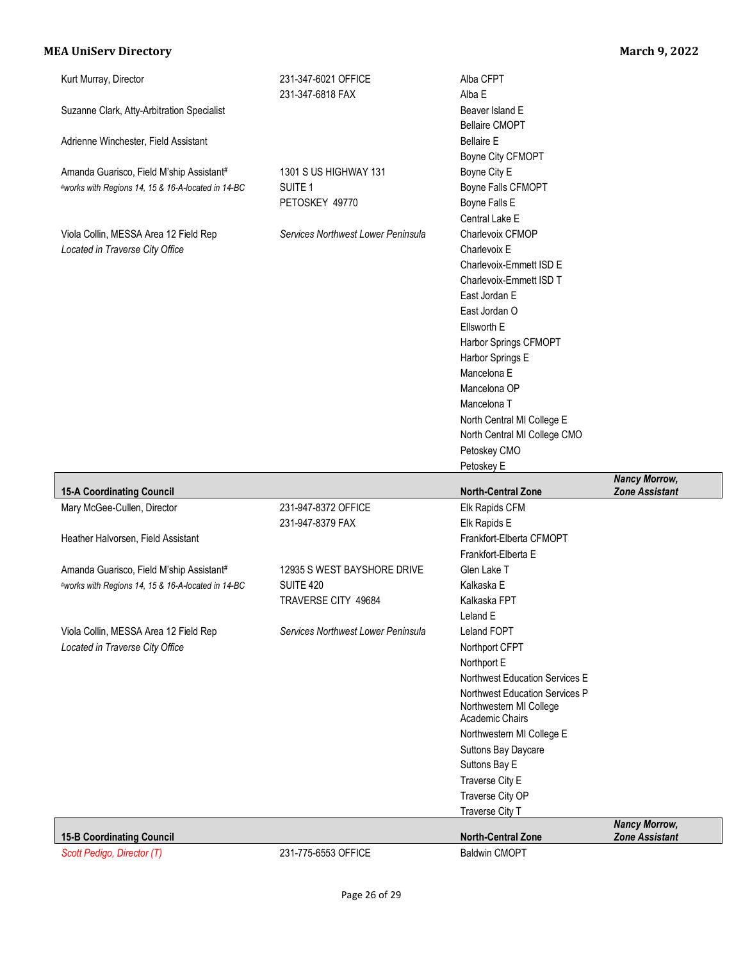| Kurt Murray, Director<br>Suzanne Clark, Atty-Arbitration Specialist                            | 231-347-6021 OFFICE<br>231-347-6818 FAX                                | Alba CFPT<br>Alba E<br>Beaver Island E<br><b>Bellaire CMOPT</b>                                                                                                                                                                                                                               |                                               |
|------------------------------------------------------------------------------------------------|------------------------------------------------------------------------|-----------------------------------------------------------------------------------------------------------------------------------------------------------------------------------------------------------------------------------------------------------------------------------------------|-----------------------------------------------|
| Adrienne Winchester, Field Assistant                                                           |                                                                        | <b>Bellaire E</b><br>Boyne City CFMOPT                                                                                                                                                                                                                                                        |                                               |
| Amanda Guarisco, Field M'ship Assistant#<br>#works with Regions 14, 15 & 16-A-located in 14-BC | 1301 S US HIGHWAY 131<br>SUITE <sub>1</sub><br>PETOSKEY 49770          | Boyne City E<br>Boyne Falls CFMOPT<br>Boyne Falls E<br>Central Lake E                                                                                                                                                                                                                         |                                               |
| Viola Collin, MESSA Area 12 Field Rep<br>Located in Traverse City Office                       | Services Northwest Lower Peninsula                                     | Charlevoix CFMOP<br>Charlevoix E<br>Charlevoix-Emmett ISD E<br>Charlevoix-Emmett ISD T<br>East Jordan E<br>East Jordan O<br>Ellsworth E<br>Harbor Springs CFMOPT<br>Harbor Springs E                                                                                                          |                                               |
|                                                                                                |                                                                        | Mancelona E<br>Mancelona OP<br>Mancelona T<br>North Central MI College E<br>North Central MI College CMO<br>Petoskey CMO                                                                                                                                                                      |                                               |
|                                                                                                |                                                                        | Petoskey E                                                                                                                                                                                                                                                                                    |                                               |
|                                                                                                |                                                                        | <b>North-Central Zone</b>                                                                                                                                                                                                                                                                     | <b>Nancy Morrow,</b><br><b>Zone Assistant</b> |
| <b>15-A Coordinating Council</b><br>Mary McGee-Cullen, Director                                | 231-947-8372 OFFICE<br>231-947-8379 FAX                                | Elk Rapids CFM<br>Elk Rapids E                                                                                                                                                                                                                                                                |                                               |
| Heather Halvorsen, Field Assistant                                                             |                                                                        | Frankfort-Elberta CFMOPT<br>Frankfort-Elberta E                                                                                                                                                                                                                                               |                                               |
| Amanda Guarisco, Field M'ship Assistant#<br>#works with Regions 14, 15 & 16-A-located in 14-BC | 12935 S WEST BAYSHORE DRIVE<br><b>SUITE 420</b><br>TRAVERSE CITY 49684 | Glen Lake T<br>Kalkaska E<br>Kalkaska FPT<br>Leland E                                                                                                                                                                                                                                         |                                               |
| Viola Collin, MESSA Area 12 Field Rep<br>Located in Traverse City Office                       | Services Northwest Lower Peninsula                                     | Leland FOPT<br>Northport CFPT<br>Northport E<br>Northwest Education Services E<br>Northwest Education Services P<br>Northwestern MI College<br>Academic Chairs<br>Northwestern MI College E<br>Suttons Bay Daycare<br>Suttons Bay E<br>Traverse City E<br>Traverse City OP<br>Traverse City T |                                               |
| <b>15-B Coordinating Council</b>                                                               |                                                                        | <b>North-Central Zone</b>                                                                                                                                                                                                                                                                     | <b>Nancy Morrow,</b><br><b>Zone Assistant</b> |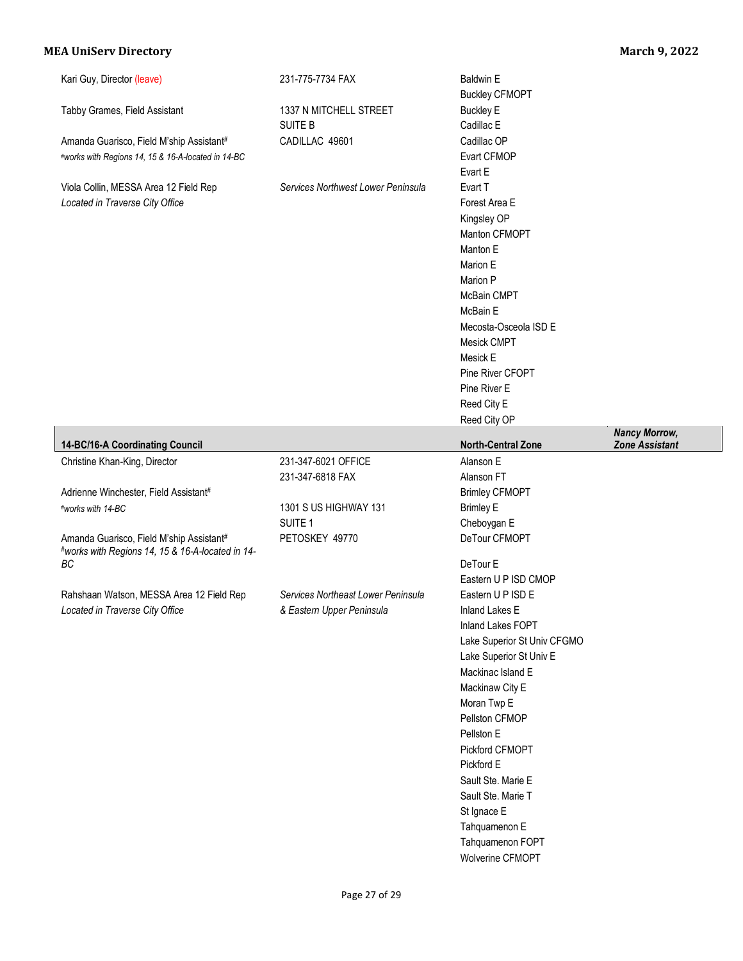|                                                                                                | 231-775-7734 FAX                         | <b>Baldwin E</b><br><b>Buckley CFMOPT</b>                                                                                                                                                                                                      |                                               |
|------------------------------------------------------------------------------------------------|------------------------------------------|------------------------------------------------------------------------------------------------------------------------------------------------------------------------------------------------------------------------------------------------|-----------------------------------------------|
| Tabby Grames, Field Assistant                                                                  | 1337 N MITCHELL STREET<br><b>SUITE B</b> | <b>Buckley E</b><br>Cadillac E                                                                                                                                                                                                                 |                                               |
| Amanda Guarisco, Field M'ship Assistant#<br>#works with Regions 14, 15 & 16-A-located in 14-BC | CADILLAC 49601                           | Cadillac OP<br>Evart CFMOP<br>Evart E                                                                                                                                                                                                          |                                               |
| Viola Collin, MESSA Area 12 Field Rep<br>Located in Traverse City Office                       | Services Northwest Lower Peninsula       | Evart T<br>Forest Area E<br>Kingsley OP<br>Manton CFMOPT<br>Manton E<br>Marion E<br>Marion P<br>McBain CMPT<br>McBain E<br>Mecosta-Osceola ISD E<br>Mesick CMPT<br>Mesick E<br>Pine River CFOPT<br>Pine River E<br>Reed City E<br>Reed City OP |                                               |
| 14-BC/16-A Coordinating Council                                                                |                                          | <b>North-Central Zone</b>                                                                                                                                                                                                                      | <b>Nancy Morrow,</b><br><b>Zone Assistant</b> |
| Christine Khan-King, Director                                                                  | 231-347-6021 OFFICE<br>231-347-6818 FAX  | Alanson E<br>Alanson FT                                                                                                                                                                                                                        |                                               |
| Adrienne Winchester, Field Assistant#                                                          |                                          | <b>Brimley CFMOPT</b>                                                                                                                                                                                                                          |                                               |
| #works with 14-BC                                                                              | 1301 S US HIGHWAY 131                    | <b>Brimley E</b>                                                                                                                                                                                                                               |                                               |
|                                                                                                | SUITE <sub>1</sub>                       | Cheboygan E                                                                                                                                                                                                                                    |                                               |
| Amanda Guarisco, Field M'ship Assistant#<br>#works with Regions 14, 15 & 16-A-located in 14-   |                                          |                                                                                                                                                                                                                                                |                                               |
|                                                                                                | PETOSKEY 49770                           | DeTour CFMOPT                                                                                                                                                                                                                                  |                                               |
| ВC                                                                                             |                                          | DeTour E<br>Eastern U P ISD CMOP                                                                                                                                                                                                               |                                               |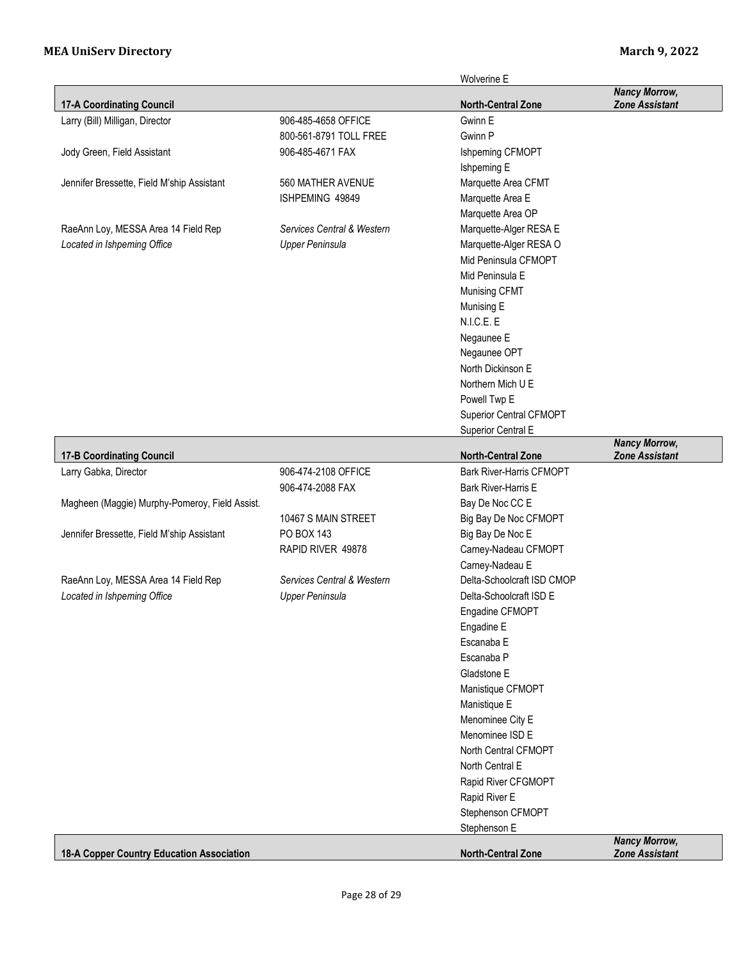|                                                |                            | <b>Wolverine E</b>                |                                               |
|------------------------------------------------|----------------------------|-----------------------------------|-----------------------------------------------|
| <b>17-A Coordinating Council</b>               |                            | <b>North-Central Zone</b>         | <b>Nancy Morrow,</b><br><b>Zone Assistant</b> |
| Larry (Bill) Milligan, Director                | 906-485-4658 OFFICE        | Gwinn E                           |                                               |
|                                                | 800-561-8791 TOLL FREE     | Gwinn P                           |                                               |
| Jody Green, Field Assistant                    | 906-485-4671 FAX           | Ishpeming CFMOPT                  |                                               |
|                                                |                            | Ishpeming E                       |                                               |
| Jennifer Bressette, Field M'ship Assistant     | 560 MATHER AVENUE          | Marquette Area CFMT               |                                               |
|                                                | ISHPEMING 49849            | Marquette Area E                  |                                               |
|                                                |                            | Marquette Area OP                 |                                               |
| RaeAnn Loy, MESSA Area 14 Field Rep            | Services Central & Western | Marquette-Alger RESA E            |                                               |
| Located in Ishpeming Office                    | <b>Upper Peninsula</b>     | Marquette-Alger RESA O            |                                               |
|                                                |                            | Mid Peninsula CFMOPT              |                                               |
|                                                |                            | Mid Peninsula E                   |                                               |
|                                                |                            | Munising CFMT                     |                                               |
|                                                |                            | Munising E                        |                                               |
|                                                |                            | N.I.C.E. E                        |                                               |
|                                                |                            |                                   |                                               |
|                                                |                            | Negaunee E                        |                                               |
|                                                |                            | Negaunee OPT<br>North Dickinson E |                                               |
|                                                |                            |                                   |                                               |
|                                                |                            | Northern Mich U E                 |                                               |
|                                                |                            | Powell Twp E                      |                                               |
|                                                |                            | Superior Central CFMOPT           |                                               |
|                                                |                            | Superior Central E                | <b>Nancy Morrow,</b>                          |
| <b>17-B Coordinating Council</b>               |                            | <b>North-Central Zone</b>         | <b>Zone Assistant</b>                         |
| Larry Gabka, Director                          | 906-474-2108 OFFICE        | <b>Bark River-Harris CFMOPT</b>   |                                               |
|                                                | 906-474-2088 FAX           | Bark River-Harris E               |                                               |
| Magheen (Maggie) Murphy-Pomeroy, Field Assist. |                            | Bay De Noc CC E                   |                                               |
|                                                | 10467 S MAIN STREET        | Big Bay De Noc CFMOPT             |                                               |
| Jennifer Bressette, Field M'ship Assistant     | PO BOX 143                 | Big Bay De Noc E                  |                                               |
|                                                | RAPID RIVER 49878          | Carney-Nadeau CFMOPT              |                                               |
|                                                |                            | Carney-Nadeau E                   |                                               |
| RaeAnn Loy, MESSA Area 14 Field Rep            | Services Central & Western | Delta-Schoolcraft ISD CMOP        |                                               |
| Located in Ishpeming Office                    | <b>Upper Peninsula</b>     | Delta-Schoolcraft ISD E           |                                               |
|                                                |                            | Engadine CFMOPT                   |                                               |
|                                                |                            | Engadine E                        |                                               |
|                                                |                            | Escanaba E                        |                                               |
|                                                |                            | Escanaba P                        |                                               |
|                                                |                            | Gladstone E                       |                                               |
|                                                |                            | Manistique CFMOPT                 |                                               |
|                                                |                            | Manistique E                      |                                               |
|                                                |                            | Menominee City E                  |                                               |
|                                                |                            | Menominee ISD E                   |                                               |
|                                                |                            | North Central CFMOPT              |                                               |
|                                                |                            | North Central E                   |                                               |
|                                                |                            | Rapid River CFGMOPT               |                                               |
|                                                |                            | Rapid River E                     |                                               |
|                                                |                            | Stephenson CFMOPT                 |                                               |
|                                                |                            | Stephenson E                      |                                               |
|                                                |                            |                                   | <b>Nancy Morrow,</b>                          |
| 18-A Copper Country Education Association      |                            | <b>North-Central Zone</b>         | <b>Zone Assistant</b>                         |